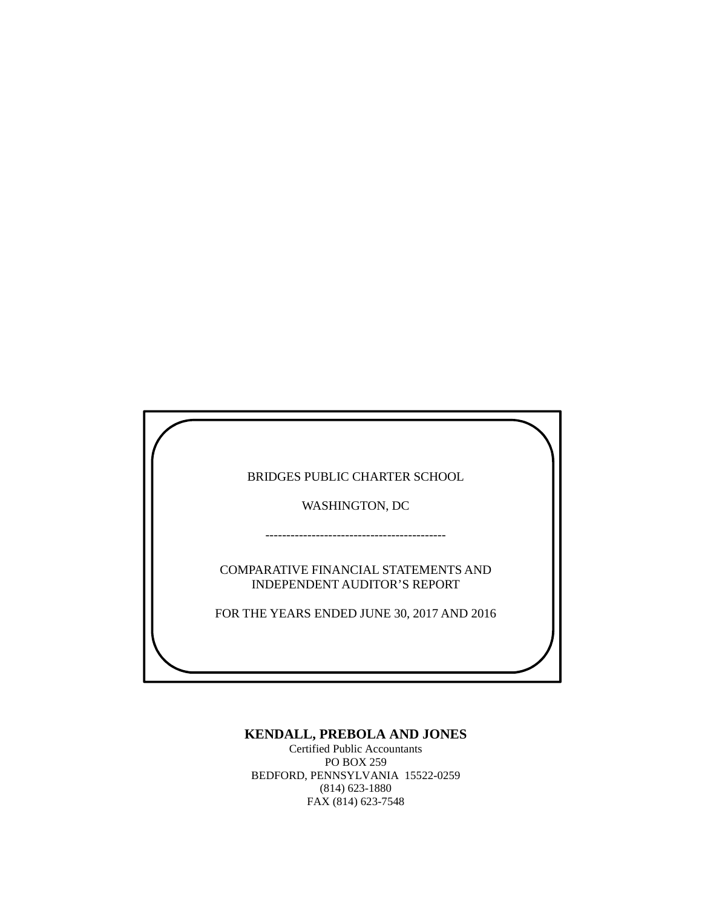BRIDGES PUBLIC CHARTER SCHOOL

WASHINGTON, DC

-------------------------------------------

COMPARATIVE FINANCIAL STATEMENTS AND INDEPENDENT AUDITOR'S REPORT

FOR THE YEARS ENDED JUNE 30, 2017 AND 2016

# **KENDALL, PREBOLA AND JONES**

Certified Public Accountants PO BOX 259 BEDFORD, PENNSYLVANIA 15522-0259 (814) 623-1880 FAX (814) 623-7548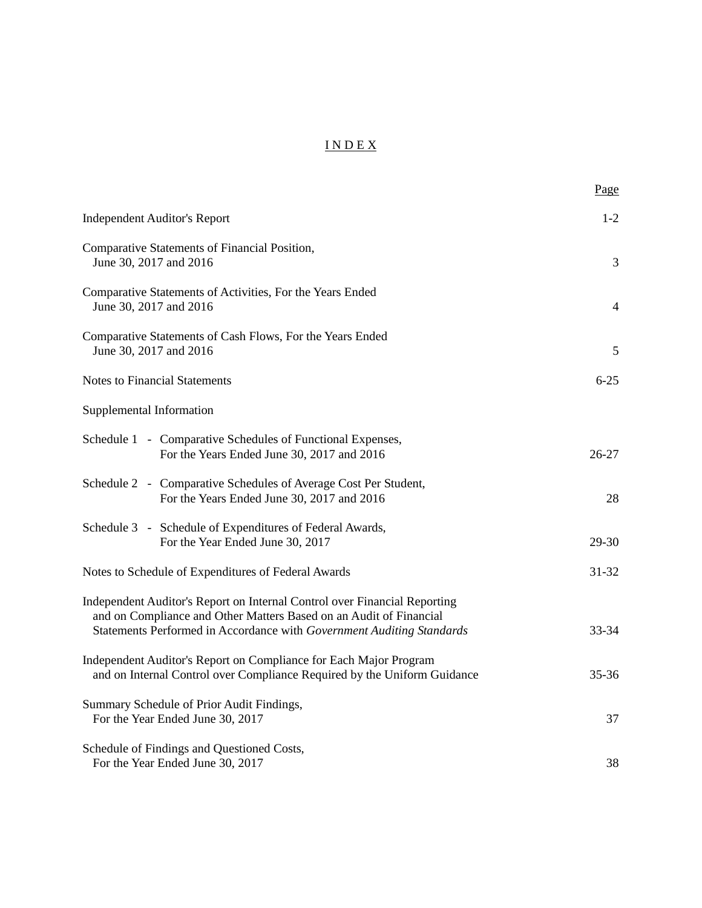# I N D E X

|                                                                                                                                                                                                                          | Page      |
|--------------------------------------------------------------------------------------------------------------------------------------------------------------------------------------------------------------------------|-----------|
| <b>Independent Auditor's Report</b>                                                                                                                                                                                      | $1-2$     |
| Comparative Statements of Financial Position,<br>June 30, 2017 and 2016                                                                                                                                                  | 3         |
| Comparative Statements of Activities, For the Years Ended<br>June 30, 2017 and 2016                                                                                                                                      | 4         |
| Comparative Statements of Cash Flows, For the Years Ended<br>June 30, 2017 and 2016                                                                                                                                      | 5         |
| <b>Notes to Financial Statements</b>                                                                                                                                                                                     | $6 - 25$  |
| Supplemental Information                                                                                                                                                                                                 |           |
| Schedule 1 - Comparative Schedules of Functional Expenses,<br>For the Years Ended June 30, 2017 and 2016                                                                                                                 | $26 - 27$ |
| Schedule 2 - Comparative Schedules of Average Cost Per Student,<br>For the Years Ended June 30, 2017 and 2016                                                                                                            | 28        |
| Schedule 3 - Schedule of Expenditures of Federal Awards,<br>For the Year Ended June 30, 2017                                                                                                                             | 29-30     |
| Notes to Schedule of Expenditures of Federal Awards                                                                                                                                                                      | 31-32     |
| Independent Auditor's Report on Internal Control over Financial Reporting<br>and on Compliance and Other Matters Based on an Audit of Financial<br>Statements Performed in Accordance with Government Auditing Standards | 33-34     |
| Independent Auditor's Report on Compliance for Each Major Program<br>and on Internal Control over Compliance Required by the Uniform Guidance                                                                            | $35 - 36$ |
| Summary Schedule of Prior Audit Findings,<br>For the Year Ended June 30, 2017                                                                                                                                            | 37        |
| Schedule of Findings and Questioned Costs,<br>For the Year Ended June 30, 2017                                                                                                                                           | 38        |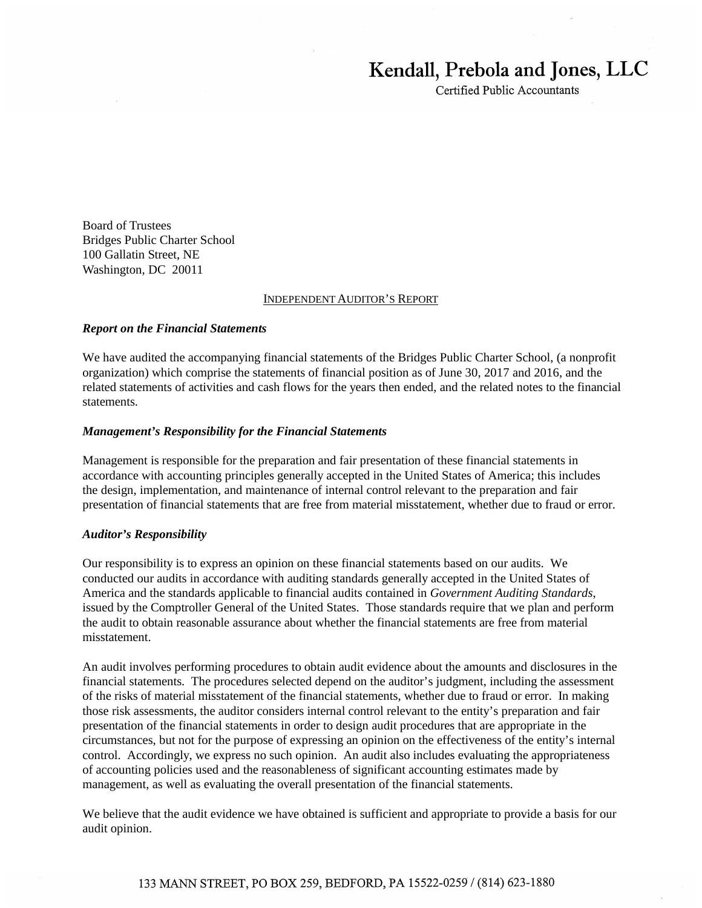# Kendall, Prebola and Jones, LLC

Certified Public Accountants

Board of Trustees Bridges Public Charter School 100 Gallatin Street, NE Washington, DC 20011

#### INDEPENDENT AUDITOR'S REPORT

#### *Report on the Financial Statements*

We have audited the accompanying financial statements of the Bridges Public Charter School, (a nonprofit organization) which comprise the statements of financial position as of June 30, 2017 and 2016, and the related statements of activities and cash flows for the years then ended, and the related notes to the financial statements.

#### *Management's Responsibility for the Financial Statements*

Management is responsible for the preparation and fair presentation of these financial statements in accordance with accounting principles generally accepted in the United States of America; this includes the design, implementation, and maintenance of internal control relevant to the preparation and fair presentation of financial statements that are free from material misstatement, whether due to fraud or error.

#### *Auditor's Responsibility*

Our responsibility is to express an opinion on these financial statements based on our audits. We conducted our audits in accordance with auditing standards generally accepted in the United States of America and the standards applicable to financial audits contained in *Government Auditing Standards*, issued by the Comptroller General of the United States. Those standards require that we plan and perform the audit to obtain reasonable assurance about whether the financial statements are free from material misstatement.

An audit involves performing procedures to obtain audit evidence about the amounts and disclosures in the financial statements. The procedures selected depend on the auditor's judgment, including the assessment of the risks of material misstatement of the financial statements, whether due to fraud or error. In making those risk assessments, the auditor considers internal control relevant to the entity's preparation and fair presentation of the financial statements in order to design audit procedures that are appropriate in the circumstances, but not for the purpose of expressing an opinion on the effectiveness of the entity's internal control. Accordingly, we express no such opinion. An audit also includes evaluating the appropriateness of accounting policies used and the reasonableness of significant accounting estimates made by management, as well as evaluating the overall presentation of the financial statements.

We believe that the audit evidence we have obtained is sufficient and appropriate to provide a basis for our audit opinion.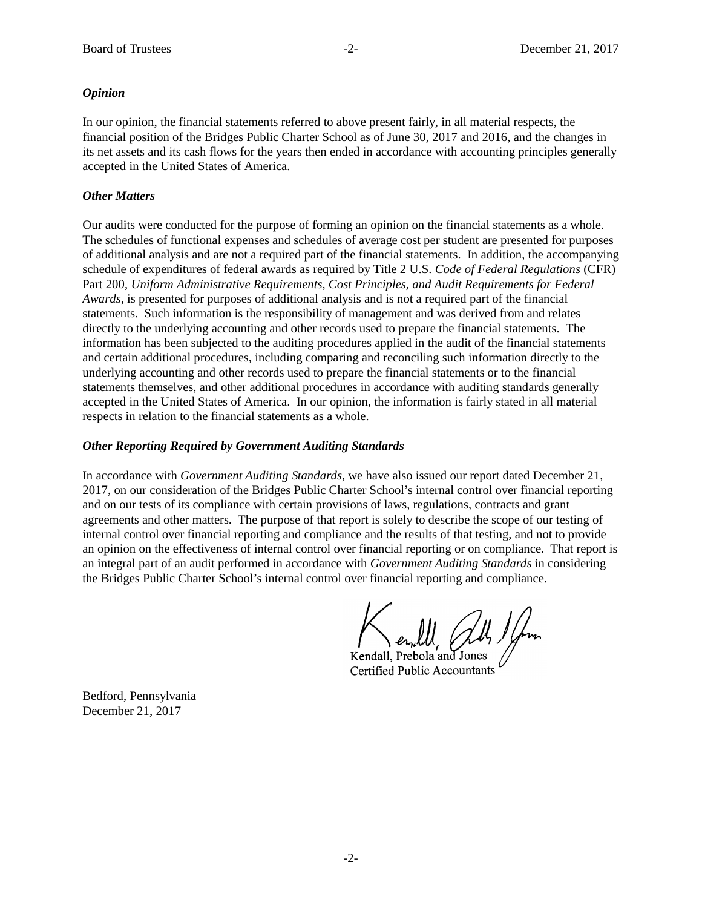#### *Opinion*

In our opinion, the financial statements referred to above present fairly, in all material respects, the financial position of the Bridges Public Charter School as of June 30, 2017 and 2016, and the changes in its net assets and its cash flows for the years then ended in accordance with accounting principles generally accepted in the United States of America.

#### *Other Matters*

Our audits were conducted for the purpose of forming an opinion on the financial statements as a whole. The schedules of functional expenses and schedules of average cost per student are presented for purposes of additional analysis and are not a required part of the financial statements. In addition, the accompanying schedule of expenditures of federal awards as required by Title 2 U.S. *Code of Federal Regulations* (CFR) Part 200, *Uniform Administrative Requirements, Cost Principles, and Audit Requirements for Federal Awards*, is presented for purposes of additional analysis and is not a required part of the financial statements. Such information is the responsibility of management and was derived from and relates directly to the underlying accounting and other records used to prepare the financial statements. The information has been subjected to the auditing procedures applied in the audit of the financial statements and certain additional procedures, including comparing and reconciling such information directly to the underlying accounting and other records used to prepare the financial statements or to the financial statements themselves, and other additional procedures in accordance with auditing standards generally accepted in the United States of America. In our opinion, the information is fairly stated in all material respects in relation to the financial statements as a whole.

#### *Other Reporting Required by Government Auditing Standards*

In accordance with *Government Auditing Standards*, we have also issued our report dated December 21, 2017, on our consideration of the Bridges Public Charter School's internal control over financial reporting and on our tests of its compliance with certain provisions of laws, regulations, contracts and grant agreements and other matters. The purpose of that report is solely to describe the scope of our testing of internal control over financial reporting and compliance and the results of that testing, and not to provide an opinion on the effectiveness of internal control over financial reporting or on compliance. That report is an integral part of an audit performed in accordance with *Government Auditing Standards* in considering the Bridges Public Charter School's internal control over financial reporting and compliance.

Kendall, allen 1

Certified Public Accountants

Bedford, Pennsylvania December 21, 2017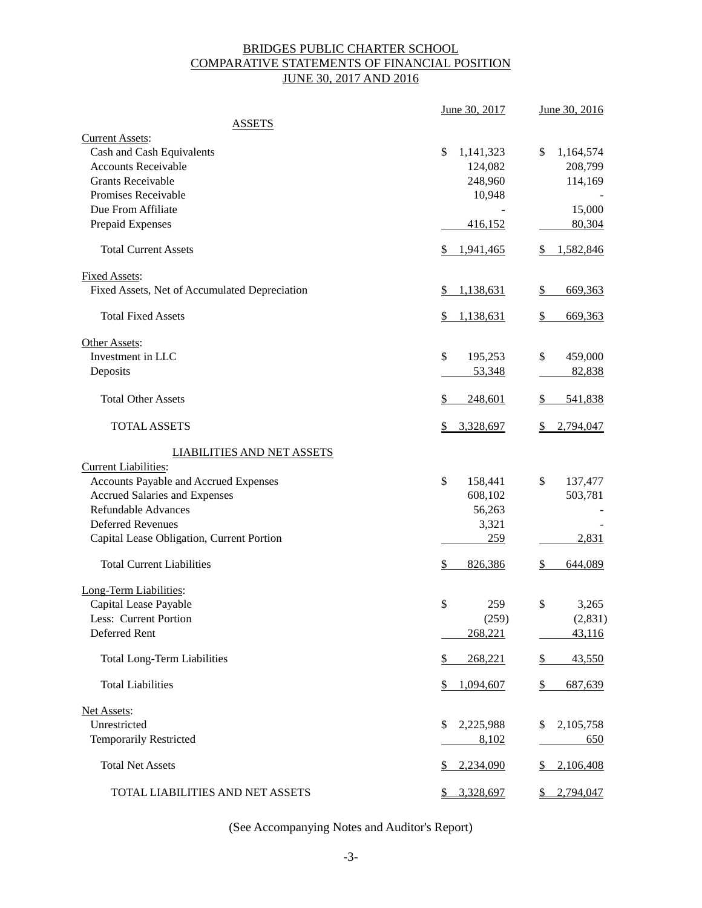# BRIDGES PUBLIC CHARTER SCHOOL COMPARATIVE STATEMENTS OF FINANCIAL POSITION JUNE 30, 2017 AND 2016

|                                               | June 30, 2017   | June 30, 2016   |
|-----------------------------------------------|-----------------|-----------------|
| <b>ASSETS</b>                                 |                 |                 |
| <b>Current Assets:</b>                        |                 |                 |
| Cash and Cash Equivalents                     | \$<br>1,141,323 | \$<br>1,164,574 |
| <b>Accounts Receivable</b>                    | 124,082         | 208,799         |
| <b>Grants Receivable</b>                      | 248,960         | 114,169         |
| Promises Receivable                           | 10,948          |                 |
| Due From Affiliate                            |                 | 15,000          |
| Prepaid Expenses                              | 416,152         | 80,304          |
|                                               |                 |                 |
| <b>Total Current Assets</b>                   | \$1,941,465     | 1,582,846       |
| <b>Fixed Assets:</b>                          |                 |                 |
| Fixed Assets, Net of Accumulated Depreciation | \$1,138,631     | \$<br>669,363   |
| <b>Total Fixed Assets</b>                     | \$1,138,631     | \$<br>669,363   |
| Other Assets:                                 |                 |                 |
| Investment in LLC                             | \$<br>195,253   | \$<br>459,000   |
| Deposits                                      | 53,348          | 82,838          |
| <b>Total Other Assets</b>                     | \$<br>248,601   | \$<br>541,838   |
| <b>TOTAL ASSETS</b>                           | 3,328,697       | 2,794,047       |
| <b>LIABILITIES AND NET ASSETS</b>             |                 |                 |
| <b>Current Liabilities:</b>                   |                 |                 |
| Accounts Payable and Accrued Expenses         | \$<br>158,441   | \$<br>137,477   |
| Accrued Salaries and Expenses                 | 608,102         | 503,781         |
| <b>Refundable Advances</b>                    | 56,263          |                 |
| <b>Deferred Revenues</b>                      | 3,321           |                 |
| Capital Lease Obligation, Current Portion     | 259             | 2,831           |
|                                               |                 |                 |
| <b>Total Current Liabilities</b>              | \$<br>826,386   | \$<br>644,089   |
| Long-Term Liabilities:                        |                 |                 |
| Capital Lease Payable                         | \$<br>259       | \$<br>3,265     |
| Less: Current Portion                         | (259)           | (2,831)         |
| Deferred Rent                                 | 268,221         | 43,116          |
| <b>Total Long-Term Liabilities</b>            | 268,221<br>S    | \$<br>43,550    |
| <b>Total Liabilities</b>                      | \$1,094,607     | 687,639<br>\$   |
| Net Assets:                                   |                 |                 |
| Unrestricted                                  | 2,225,988<br>\$ | 2,105,758       |
| <b>Temporarily Restricted</b>                 | 8,102           | 650             |
| <b>Total Net Assets</b>                       | 2,234,090       | 2,106,408       |
| TOTAL LIABILITIES AND NET ASSETS              | 3,328,697       | 2,794,047<br>S. |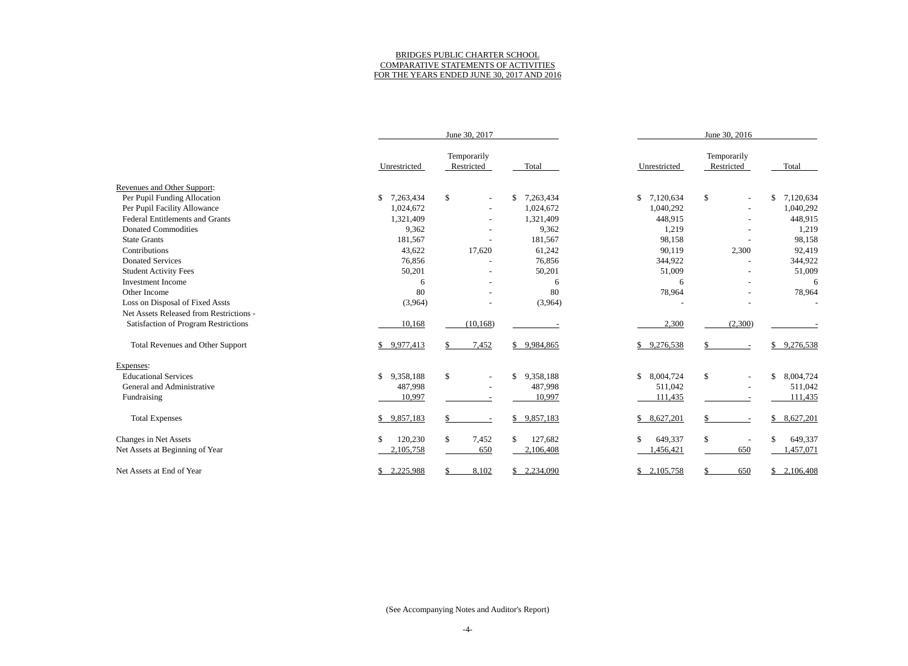#### BRIDGES PUBLIC CHARTER SCHOOL COMPARATIVE STATEMENTS OF ACTIVITIES FOR THE YEARS ENDED JUNE 30, 2017 AND 2016

|                                         |                           | June 30, 2017             |                 | June 30, 2016   |                                 |                 |
|-----------------------------------------|---------------------------|---------------------------|-----------------|-----------------|---------------------------------|-----------------|
|                                         | Unrestricted              | Temporarily<br>Restricted | Total           | Unrestricted    | Temporarily<br>Restricted       | Total           |
| Revenues and Other Support:             |                           |                           |                 |                 |                                 |                 |
| Per Pupil Funding Allocation            | \$<br>7,263,434           | $\frac{1}{2}$             | 7,263,434<br>\$ | \$<br>7,120,634 | $\mathcal{S}$<br>$\blacksquare$ | \$<br>7,120,634 |
| Per Pupil Facility Allowance            | 1,024,672                 |                           | 1,024,672       | 1,040,292       |                                 | 1,040,292       |
| <b>Federal Entitlements and Grants</b>  | 1,321,409                 |                           | 1,321,409       | 448,915         |                                 | 448,915         |
| <b>Donated Commodities</b>              | 9,362                     |                           | 9,362           | 1,219           |                                 | 1,219           |
| <b>State Grants</b>                     | 181,567                   |                           | 181,567         | 98,158          | $\sim$                          | 98,158          |
| Contributions                           | 43,622                    | 17,620                    | 61,242          | 90,119          | 2,300                           | 92,419          |
| <b>Donated Services</b>                 | 76,856                    |                           | 76,856          | 344,922         |                                 | 344,922         |
| <b>Student Activity Fees</b>            | 50,201                    |                           | 50,201          | 51,009          |                                 | 51,009          |
| Investment Income                       | 6                         |                           | 6               | 6               |                                 | 6               |
| Other Income                            | 80                        |                           | 80              | 78,964          |                                 | 78,964          |
| Loss on Disposal of Fixed Assts         | (3,964)                   |                           | (3,964)         |                 |                                 |                 |
| Net Assets Released from Restrictions - |                           |                           |                 |                 |                                 |                 |
| Satisfaction of Program Restrictions    | 10,168                    | (10, 168)                 |                 | 2,300           | (2,300)                         |                 |
| <b>Total Revenues and Other Support</b> | \$9,977,413               | 7,452<br>\$               | 9,984,865       | \$<br>9,276,538 |                                 | 9,276,538<br>\$ |
| Expenses:                               |                           |                           |                 |                 |                                 |                 |
| <b>Educational Services</b>             | 9,358,188<br>\$           | $\mathbb{S}$              | 9,358,188<br>\$ | \$<br>8,004,724 | $\mathcal{S}$                   | 8,004,724<br>\$ |
| General and Administrative              | 487,998                   |                           | 487,998         | 511,042         |                                 | 511,042         |
| Fundraising                             | 10,997                    |                           | 10,997          | 111,435         |                                 | 111,435         |
| <b>Total Expenses</b>                   | 9,857,183<br>$\mathbb{S}$ | \$                        | 9,857,183<br>\$ | 8,627,201<br>\$ |                                 | 8,627,201<br>\$ |
| Changes in Net Assets                   | 120,230<br>\$             | $\frac{1}{2}$<br>7,452    | 127,682<br>\$   | \$<br>649,337   | $\mathcal{S}$                   | 649,337         |
| Net Assets at Beginning of Year         | 2,105,758                 | 650                       | 2,106,408       | 1,456,421       | 650                             | ,457,071        |
| Net Assets at End of Year               | 2,225,988                 | 8,102<br>\$               | \$2,234,090     | 2,105,758<br>\$ | 650                             | \$2,106,408     |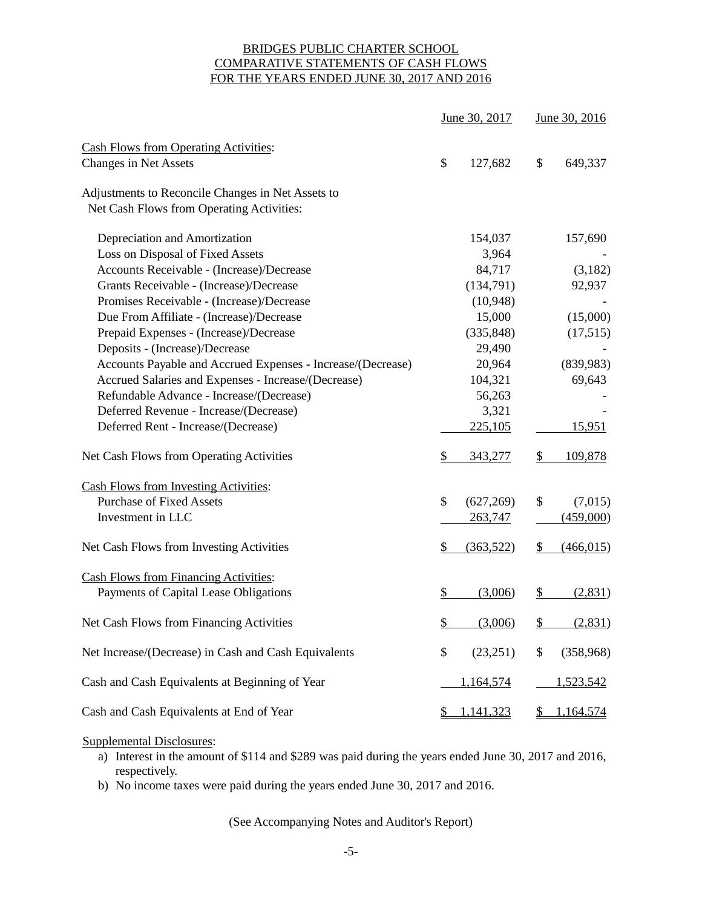# BRIDGES PUBLIC CHARTER SCHOOL COMPARATIVE STATEMENTS OF CASH FLOWS FOR THE YEARS ENDED JUNE 30, 2017 AND 2016

|                                                             | June 30, 2017    |               | June 30, 2016 |
|-------------------------------------------------------------|------------------|---------------|---------------|
| <b>Cash Flows from Operating Activities:</b>                |                  |               |               |
| <b>Changes in Net Assets</b>                                | \$<br>127,682    | \$            | 649,337       |
| Adjustments to Reconcile Changes in Net Assets to           |                  |               |               |
| Net Cash Flows from Operating Activities:                   |                  |               |               |
| Depreciation and Amortization                               | 154,037          |               | 157,690       |
| Loss on Disposal of Fixed Assets                            | 3,964            |               |               |
| Accounts Receivable - (Increase)/Decrease                   | 84,717           |               | (3,182)       |
| Grants Receivable - (Increase)/Decrease                     | (134,791)        |               | 92,937        |
| Promises Receivable - (Increase)/Decrease                   | (10,948)         |               |               |
| Due From Affiliate - (Increase)/Decrease                    | 15,000           |               | (15,000)      |
| Prepaid Expenses - (Increase)/Decrease                      | (335, 848)       |               | (17,515)      |
| Deposits - (Increase)/Decrease                              | 29,490           |               |               |
| Accounts Payable and Accrued Expenses - Increase/(Decrease) | 20,964           |               | (839,983)     |
| Accrued Salaries and Expenses - Increase/(Decrease)         | 104,321          |               | 69,643        |
| Refundable Advance - Increase/(Decrease)                    | 56,263           |               |               |
| Deferred Revenue - Increase/(Decrease)                      | 3,321            |               |               |
| Deferred Rent - Increase/(Decrease)                         | 225,105          |               | <u>15,951</u> |
| Net Cash Flows from Operating Activities                    | \$<br>343,277    | \$            | 109,878       |
| <b>Cash Flows from Investing Activities:</b>                |                  |               |               |
| <b>Purchase of Fixed Assets</b>                             | \$<br>(627, 269) | \$            | (7,015)       |
| Investment in LLC                                           | 263,747          |               | (459,000)     |
| Net Cash Flows from Investing Activities                    | \$<br>(363,522)  | \$            | (466, 015)    |
| <b>Cash Flows from Financing Activities:</b>                |                  |               |               |
| Payments of Capital Lease Obligations                       | \$<br>(3,006)    | $\frac{1}{2}$ | (2,831)       |
| Net Cash Flows from Financing Activities                    | \$<br>(3,006)    | \$            | (2,831)       |
| Net Increase/(Decrease) in Cash and Cash Equivalents        | \$<br>(23, 251)  | \$            | (358,968)     |
| Cash and Cash Equivalents at Beginning of Year              | 1,164,574        |               | 1,523,542     |
| Cash and Cash Equivalents at End of Year                    | \$<br>1,141,323  | \$            | 1,164,574     |

#### Supplemental Disclosures:

a) Interest in the amount of \$114 and \$289 was paid during the years ended June 30, 2017 and 2016, respectively.

b) No income taxes were paid during the years ended June 30, 2017 and 2016.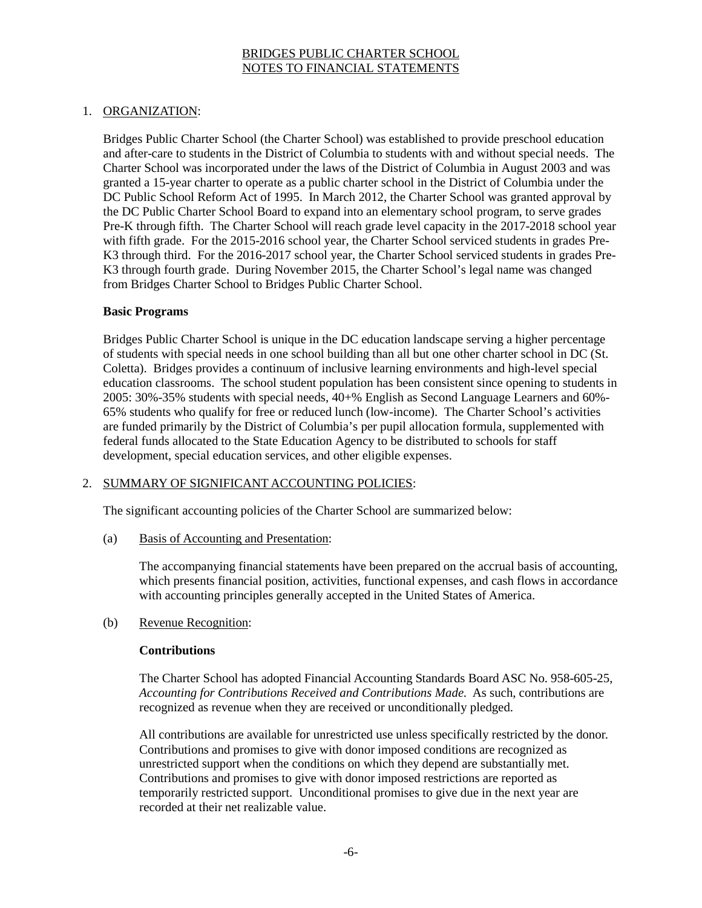## 1. ORGANIZATION:

Bridges Public Charter School (the Charter School) was established to provide preschool education and after-care to students in the District of Columbia to students with and without special needs. The Charter School was incorporated under the laws of the District of Columbia in August 2003 and was granted a 15-year charter to operate as a public charter school in the District of Columbia under the DC Public School Reform Act of 1995. In March 2012, the Charter School was granted approval by the DC Public Charter School Board to expand into an elementary school program, to serve grades Pre-K through fifth. The Charter School will reach grade level capacity in the 2017-2018 school year with fifth grade. For the 2015-2016 school year, the Charter School serviced students in grades Pre-K3 through third. For the 2016-2017 school year, the Charter School serviced students in grades Pre-K3 through fourth grade. During November 2015, the Charter School's legal name was changed from Bridges Charter School to Bridges Public Charter School.

#### **Basic Programs**

Bridges Public Charter School is unique in the DC education landscape serving a higher percentage of students with special needs in one school building than all but one other charter school in DC (St. Coletta). Bridges provides a continuum of inclusive learning environments and high-level special education classrooms. The school student population has been consistent since opening to students in 2005: 30%-35% students with special needs, 40+% English as Second Language Learners and 60%- 65% students who qualify for free or reduced lunch (low-income). The Charter School's activities are funded primarily by the District of Columbia's per pupil allocation formula, supplemented with federal funds allocated to the State Education Agency to be distributed to schools for staff development, special education services, and other eligible expenses.

## 2. SUMMARY OF SIGNIFICANT ACCOUNTING POLICIES:

The significant accounting policies of the Charter School are summarized below:

(a) Basis of Accounting and Presentation:

The accompanying financial statements have been prepared on the accrual basis of accounting, which presents financial position, activities, functional expenses, and cash flows in accordance with accounting principles generally accepted in the United States of America.

(b) Revenue Recognition:

#### **Contributions**

The Charter School has adopted Financial Accounting Standards Board ASC No. 958-605-25, *Accounting for Contributions Received and Contributions Made.* As such, contributions are recognized as revenue when they are received or unconditionally pledged.

All contributions are available for unrestricted use unless specifically restricted by the donor. Contributions and promises to give with donor imposed conditions are recognized as unrestricted support when the conditions on which they depend are substantially met. Contributions and promises to give with donor imposed restrictions are reported as temporarily restricted support. Unconditional promises to give due in the next year are recorded at their net realizable value.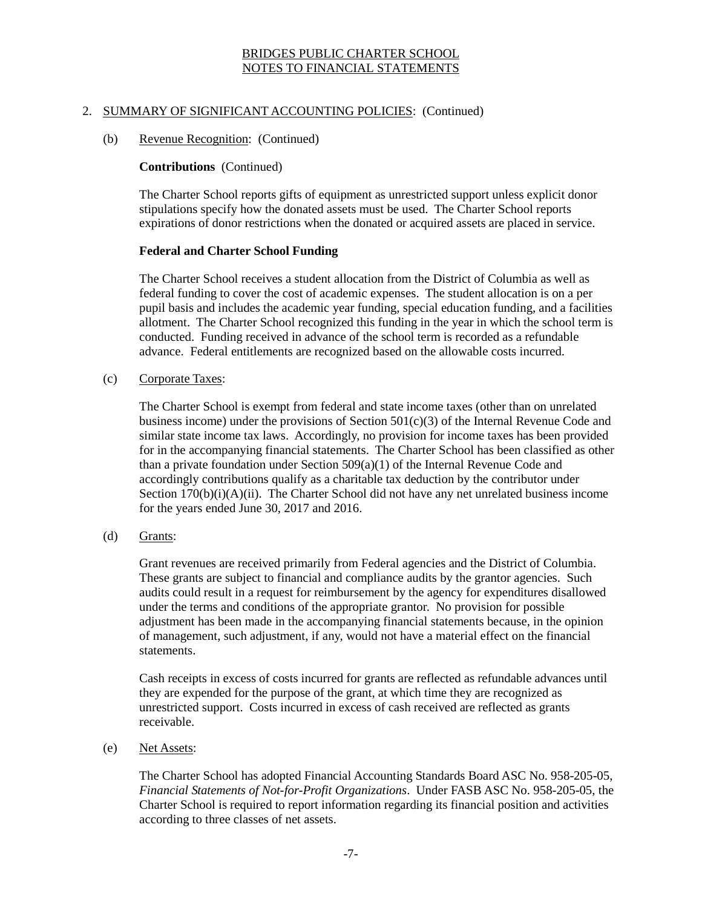# 2. SUMMARY OF SIGNIFICANT ACCOUNTING POLICIES: (Continued)

## (b) Revenue Recognition: (Continued)

## **Contributions** (Continued)

The Charter School reports gifts of equipment as unrestricted support unless explicit donor stipulations specify how the donated assets must be used. The Charter School reports expirations of donor restrictions when the donated or acquired assets are placed in service.

#### **Federal and Charter School Funding**

The Charter School receives a student allocation from the District of Columbia as well as federal funding to cover the cost of academic expenses. The student allocation is on a per pupil basis and includes the academic year funding, special education funding, and a facilities allotment. The Charter School recognized this funding in the year in which the school term is conducted. Funding received in advance of the school term is recorded as a refundable advance. Federal entitlements are recognized based on the allowable costs incurred.

#### (c) Corporate Taxes:

The Charter School is exempt from federal and state income taxes (other than on unrelated business income) under the provisions of Section  $501(c)(3)$  of the Internal Revenue Code and similar state income tax laws. Accordingly, no provision for income taxes has been provided for in the accompanying financial statements. The Charter School has been classified as other than a private foundation under Section 509(a)(1) of the Internal Revenue Code and accordingly contributions qualify as a charitable tax deduction by the contributor under Section  $170(b)(i)(A)(ii)$ . The Charter School did not have any net unrelated business income for the years ended June 30, 2017 and 2016.

## (d) Grants:

Grant revenues are received primarily from Federal agencies and the District of Columbia. These grants are subject to financial and compliance audits by the grantor agencies. Such audits could result in a request for reimbursement by the agency for expenditures disallowed under the terms and conditions of the appropriate grantor. No provision for possible adjustment has been made in the accompanying financial statements because, in the opinion of management, such adjustment, if any, would not have a material effect on the financial statements.

Cash receipts in excess of costs incurred for grants are reflected as refundable advances until they are expended for the purpose of the grant, at which time they are recognized as unrestricted support. Costs incurred in excess of cash received are reflected as grants receivable.

## (e) Net Assets:

The Charter School has adopted Financial Accounting Standards Board ASC No. 958-205-05, *Financial Statements of Not-for-Profit Organizations*. Under FASB ASC No. 958-205-05, the Charter School is required to report information regarding its financial position and activities according to three classes of net assets.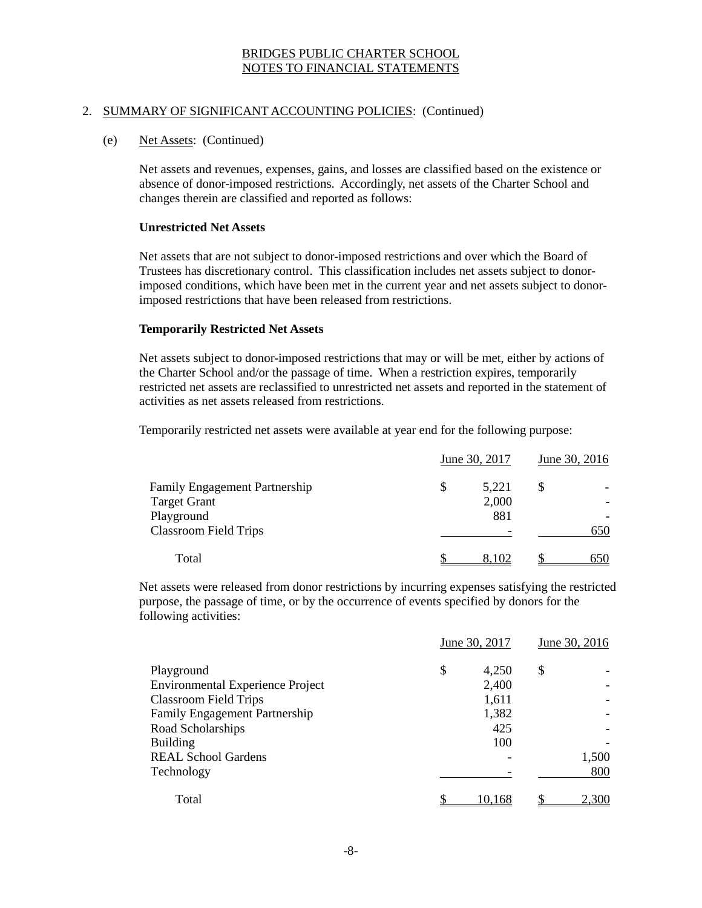# 2. SUMMARY OF SIGNIFICANT ACCOUNTING POLICIES: (Continued)

#### (e) Net Assets: (Continued)

Net assets and revenues, expenses, gains, and losses are classified based on the existence or absence of donor-imposed restrictions. Accordingly, net assets of the Charter School and changes therein are classified and reported as follows:

#### **Unrestricted Net Assets**

Net assets that are not subject to donor-imposed restrictions and over which the Board of Trustees has discretionary control. This classification includes net assets subject to donorimposed conditions, which have been met in the current year and net assets subject to donorimposed restrictions that have been released from restrictions.

#### **Temporarily Restricted Net Assets**

Net assets subject to donor-imposed restrictions that may or will be met, either by actions of the Charter School and/or the passage of time. When a restriction expires, temporarily restricted net assets are reclassified to unrestricted net assets and reported in the statement of activities as net assets released from restrictions.

Temporarily restricted net assets were available at year end for the following purpose:

| <b>Family Engagement Partnership</b> | June 30, 2017 |       | June 30, 2016 |     |
|--------------------------------------|---------------|-------|---------------|-----|
|                                      | S             | 5,221 |               |     |
| <b>Target Grant</b>                  |               | 2,000 |               |     |
| Playground                           |               | 881   |               |     |
| <b>Classroom Field Trips</b>         |               |       |               | 650 |
| Total                                |               | 8.102 |               | 650 |

Net assets were released from donor restrictions by incurring expenses satisfying the restricted purpose, the passage of time, or by the occurrence of events specified by donors for the following activities:

|                                         | June 30, 2017 |        | June 30, 2016 |       |
|-----------------------------------------|---------------|--------|---------------|-------|
| Playground                              | \$            | 4,250  | \$            |       |
| <b>Environmental Experience Project</b> |               | 2,400  |               |       |
| <b>Classroom Field Trips</b>            |               | 1,611  |               |       |
| <b>Family Engagement Partnership</b>    |               | 1,382  |               |       |
| Road Scholarships                       |               | 425    |               |       |
| <b>Building</b>                         |               | 100    |               |       |
| <b>REAL School Gardens</b>              |               |        |               | 1,500 |
| Technology                              |               |        |               | 800   |
| Total                                   |               | 10,168 |               | 2,300 |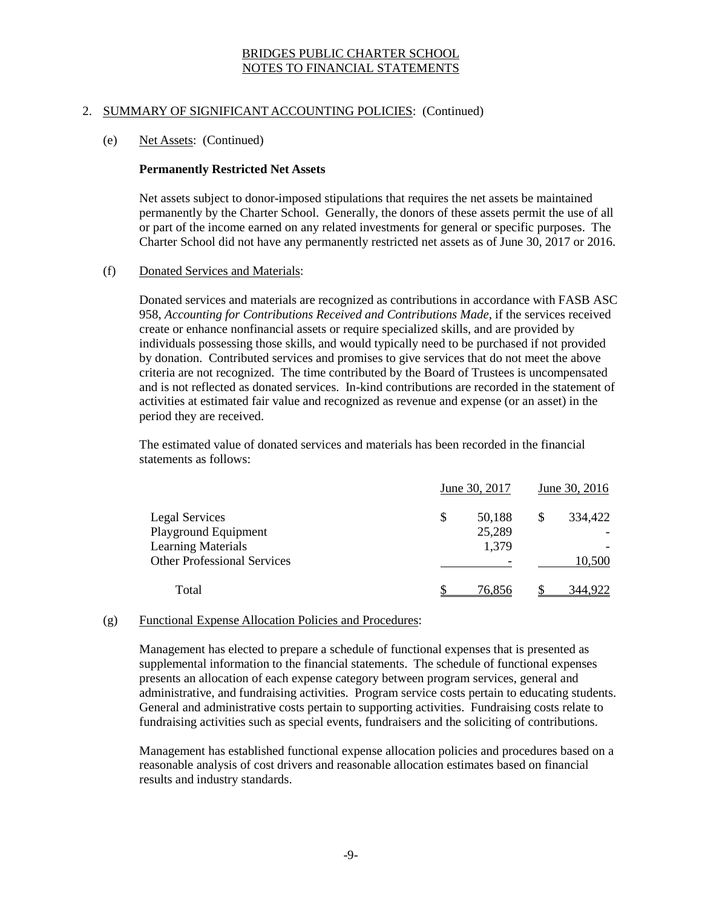# 2. SUMMARY OF SIGNIFICANT ACCOUNTING POLICIES: (Continued)

(e) Net Assets: (Continued)

#### **Permanently Restricted Net Assets**

Net assets subject to donor-imposed stipulations that requires the net assets be maintained permanently by the Charter School. Generally, the donors of these assets permit the use of all or part of the income earned on any related investments for general or specific purposes. The Charter School did not have any permanently restricted net assets as of June 30, 2017 or 2016.

## (f) Donated Services and Materials:

Donated services and materials are recognized as contributions in accordance with FASB ASC 958, *Accounting for Contributions Received and Contributions Made*, if the services received create or enhance nonfinancial assets or require specialized skills, and are provided by individuals possessing those skills, and would typically need to be purchased if not provided by donation. Contributed services and promises to give services that do not meet the above criteria are not recognized. The time contributed by the Board of Trustees is uncompensated and is not reflected as donated services. In-kind contributions are recorded in the statement of activities at estimated fair value and recognized as revenue and expense (or an asset) in the period they are received.

The estimated value of donated services and materials has been recorded in the financial statements as follows:

|                                    | June 30, 2017 |  | June 30, 2016 |  |
|------------------------------------|---------------|--|---------------|--|
| Legal Services                     | \$<br>50,188  |  | 334,422       |  |
| Playground Equipment               | 25,289        |  |               |  |
| <b>Learning Materials</b>          | 1,379         |  |               |  |
| <b>Other Professional Services</b> |               |  | 10,500        |  |
| Total                              | 76.856        |  | 344 YEZ       |  |

#### (g) Functional Expense Allocation Policies and Procedures:

Management has elected to prepare a schedule of functional expenses that is presented as supplemental information to the financial statements. The schedule of functional expenses presents an allocation of each expense category between program services, general and administrative, and fundraising activities. Program service costs pertain to educating students. General and administrative costs pertain to supporting activities. Fundraising costs relate to fundraising activities such as special events, fundraisers and the soliciting of contributions.

Management has established functional expense allocation policies and procedures based on a reasonable analysis of cost drivers and reasonable allocation estimates based on financial results and industry standards.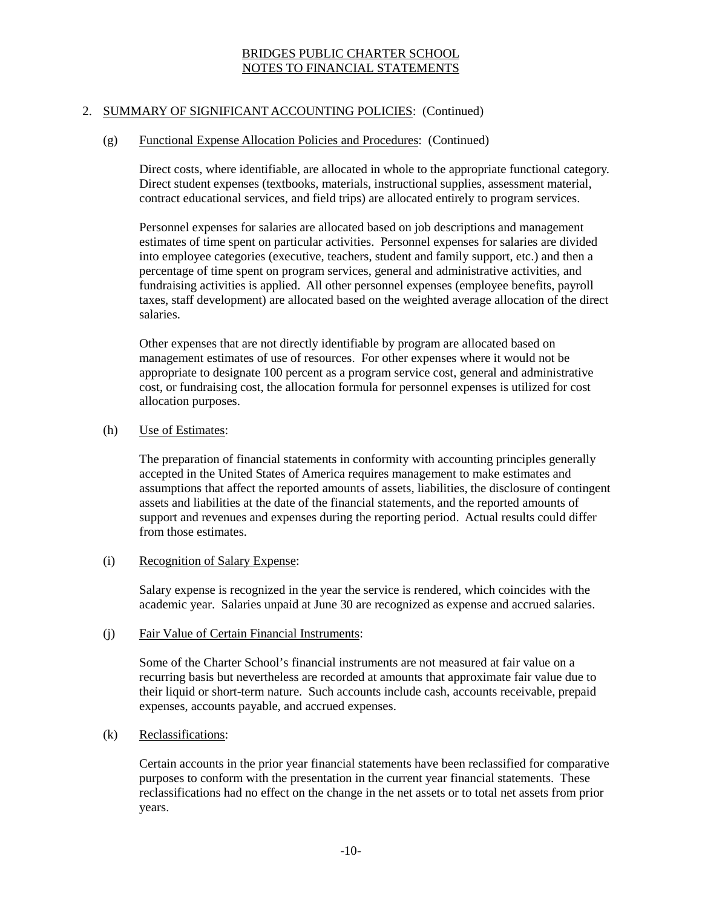# 2. SUMMARY OF SIGNIFICANT ACCOUNTING POLICIES: (Continued)

#### (g) Functional Expense Allocation Policies and Procedures: (Continued)

Direct costs, where identifiable, are allocated in whole to the appropriate functional category. Direct student expenses (textbooks, materials, instructional supplies, assessment material, contract educational services, and field trips) are allocated entirely to program services.

Personnel expenses for salaries are allocated based on job descriptions and management estimates of time spent on particular activities. Personnel expenses for salaries are divided into employee categories (executive, teachers, student and family support, etc.) and then a percentage of time spent on program services, general and administrative activities, and fundraising activities is applied. All other personnel expenses (employee benefits, payroll taxes, staff development) are allocated based on the weighted average allocation of the direct salaries.

Other expenses that are not directly identifiable by program are allocated based on management estimates of use of resources. For other expenses where it would not be appropriate to designate 100 percent as a program service cost, general and administrative cost, or fundraising cost, the allocation formula for personnel expenses is utilized for cost allocation purposes.

#### (h) Use of Estimates:

The preparation of financial statements in conformity with accounting principles generally accepted in the United States of America requires management to make estimates and assumptions that affect the reported amounts of assets, liabilities, the disclosure of contingent assets and liabilities at the date of the financial statements, and the reported amounts of support and revenues and expenses during the reporting period. Actual results could differ from those estimates.

## (i) Recognition of Salary Expense:

Salary expense is recognized in the year the service is rendered, which coincides with the academic year. Salaries unpaid at June 30 are recognized as expense and accrued salaries.

## (j) Fair Value of Certain Financial Instruments:

Some of the Charter School's financial instruments are not measured at fair value on a recurring basis but nevertheless are recorded at amounts that approximate fair value due to their liquid or short-term nature. Such accounts include cash, accounts receivable, prepaid expenses, accounts payable, and accrued expenses.

## (k) Reclassifications:

Certain accounts in the prior year financial statements have been reclassified for comparative purposes to conform with the presentation in the current year financial statements. These reclassifications had no effect on the change in the net assets or to total net assets from prior years.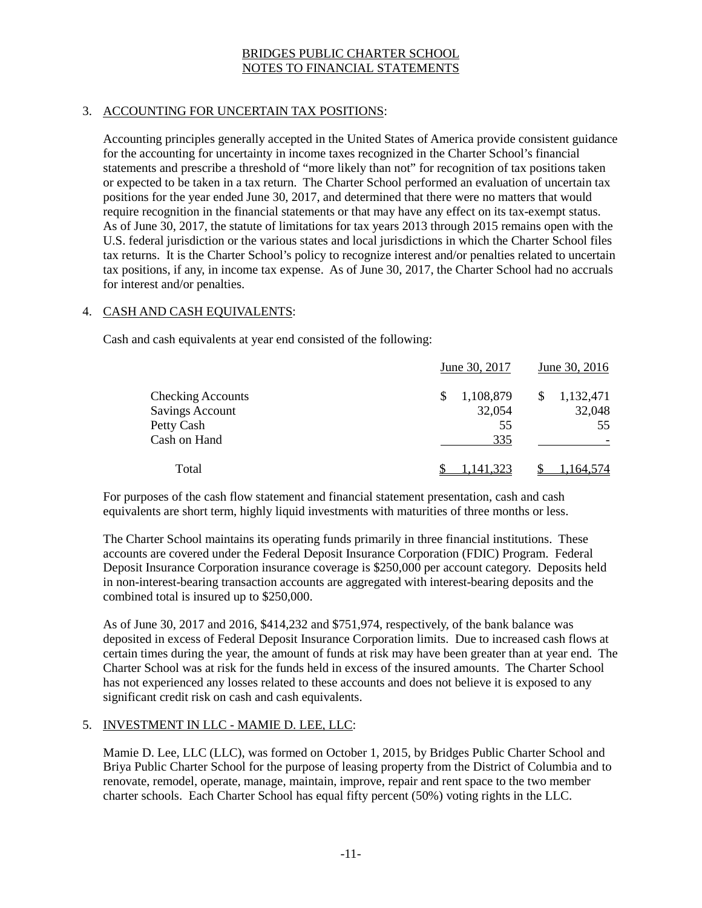# 3. ACCOUNTING FOR UNCERTAIN TAX POSITIONS:

Accounting principles generally accepted in the United States of America provide consistent guidance for the accounting for uncertainty in income taxes recognized in the Charter School's financial statements and prescribe a threshold of "more likely than not" for recognition of tax positions taken or expected to be taken in a tax return. The Charter School performed an evaluation of uncertain tax positions for the year ended June 30, 2017, and determined that there were no matters that would require recognition in the financial statements or that may have any effect on its tax-exempt status. As of June 30, 2017, the statute of limitations for tax years 2013 through 2015 remains open with the U.S. federal jurisdiction or the various states and local jurisdictions in which the Charter School files tax returns. It is the Charter School's policy to recognize interest and/or penalties related to uncertain tax positions, if any, in income tax expense. As of June 30, 2017, the Charter School had no accruals for interest and/or penalties.

## 4. CASH AND CASH EQUIVALENTS:

Cash and cash equivalents at year end consisted of the following:

|                          | June 30, 2017 | June 30, 2016 |
|--------------------------|---------------|---------------|
| <b>Checking Accounts</b> | 1,108,879     | 1,132,471     |
| <b>Savings Account</b>   | 32,054        | 32,048        |
| Petty Cash               | 55            | 55            |
| Cash on Hand             | 335           |               |
| Total                    | 141.323       | 164.574       |

For purposes of the cash flow statement and financial statement presentation, cash and cash equivalents are short term, highly liquid investments with maturities of three months or less.

The Charter School maintains its operating funds primarily in three financial institutions. These accounts are covered under the Federal Deposit Insurance Corporation (FDIC) Program. Federal Deposit Insurance Corporation insurance coverage is \$250,000 per account category. Deposits held in non-interest-bearing transaction accounts are aggregated with interest-bearing deposits and the combined total is insured up to \$250,000.

As of June 30, 2017 and 2016, \$414,232 and \$751,974, respectively, of the bank balance was deposited in excess of Federal Deposit Insurance Corporation limits. Due to increased cash flows at certain times during the year, the amount of funds at risk may have been greater than at year end. The Charter School was at risk for the funds held in excess of the insured amounts. The Charter School has not experienced any losses related to these accounts and does not believe it is exposed to any significant credit risk on cash and cash equivalents.

# 5. INVESTMENT IN LLC - MAMIE D. LEE, LLC:

Mamie D. Lee, LLC (LLC), was formed on October 1, 2015, by Bridges Public Charter School and Briya Public Charter School for the purpose of leasing property from the District of Columbia and to renovate, remodel, operate, manage, maintain, improve, repair and rent space to the two member charter schools. Each Charter School has equal fifty percent (50%) voting rights in the LLC.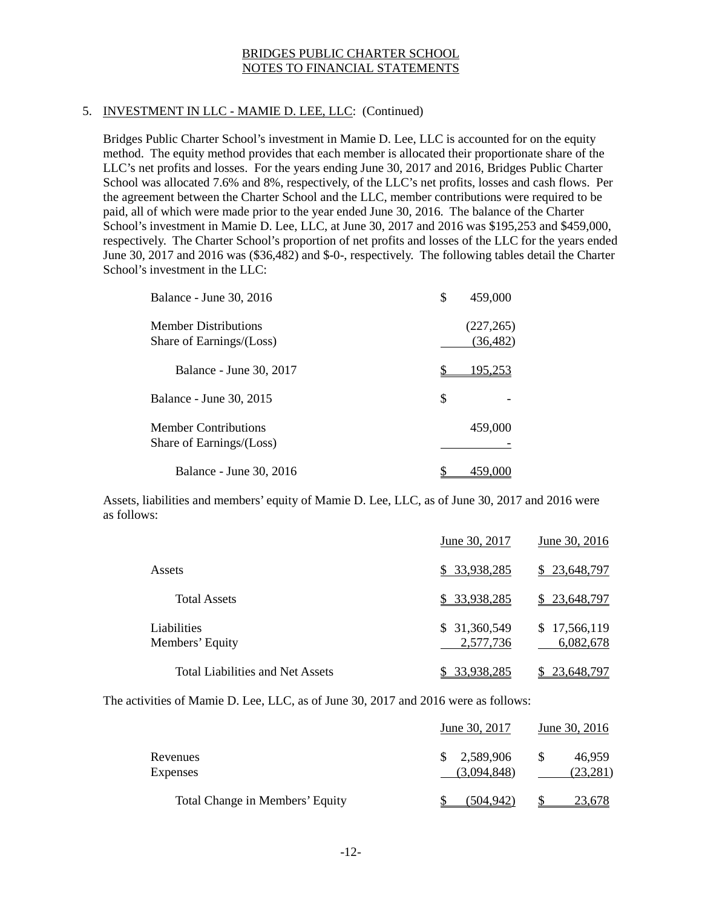# 5. INVESTMENT IN LLC - MAMIE D. LEE, LLC: (Continued)

Bridges Public Charter School's investment in Mamie D. Lee, LLC is accounted for on the equity method. The equity method provides that each member is allocated their proportionate share of the LLC's net profits and losses. For the years ending June 30, 2017 and 2016, Bridges Public Charter School was allocated 7.6% and 8%, respectively, of the LLC's net profits, losses and cash flows. Per the agreement between the Charter School and the LLC, member contributions were required to be paid, all of which were made prior to the year ended June 30, 2016. The balance of the Charter School's investment in Mamie D. Lee, LLC, at June 30, 2017 and 2016 was \$195,253 and \$459,000, respectively. The Charter School's proportion of net profits and losses of the LLC for the years ended June 30, 2017 and 2016 was (\$36,482) and \$-0-, respectively. The following tables detail the Charter School's investment in the LLC:

| <b>Balance - June 30, 2016</b>                          | \$<br>459,000           |
|---------------------------------------------------------|-------------------------|
| <b>Member Distributions</b><br>Share of Earnings/(Loss) | (227, 265)<br>(36, 482) |
| Balance - June 30, 2017                                 | 195.253                 |
| Balance - June 30, 2015                                 | \$                      |
| Member Contributions<br>Share of Earnings/(Loss)        | 459,000                 |
| Balance - June 30, 2016                                 | 459.                    |

Assets, liabilities and members' equity of Mamie D. Lee, LLC, as of June 30, 2017 and 2016 were as follows:

|                                  | June 30, 2017              | June 30, 2016             |
|----------------------------------|----------------------------|---------------------------|
| Assets                           | \$33,938,285               | \$23,648,797              |
| <b>Total Assets</b>              | \$ 33,938,285              | \$23,648,797              |
| Liabilities<br>Members' Equity   | \$ 31,360,549<br>2,577,736 | \$17,566,119<br>6,082,678 |
| Total Liabilities and Net Assets | 33,938,285                 | 23,648,797                |

The activities of Mamie D. Lee, LLC, as of June 30, 2017 and 2016 were as follows:

|                                 | June 30, 2017            | June 30, 2016       |  |
|---------------------------------|--------------------------|---------------------|--|
| Revenues<br><b>Expenses</b>     | 2,589,906<br>(3,094,848) | 46.959<br>(23, 281) |  |
| Total Change in Members' Equity | (504.942)                | 23,678              |  |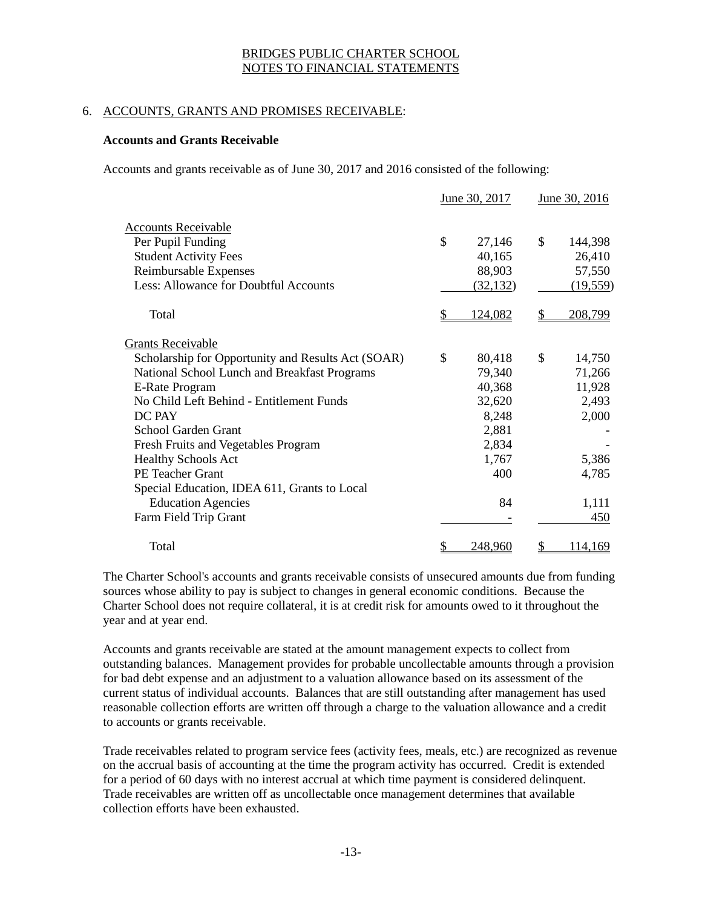# 6. ACCOUNTS, GRANTS AND PROMISES RECEIVABLE:

#### **Accounts and Grants Receivable**

Accounts and grants receivable as of June 30, 2017 and 2016 consisted of the following:

|                                                    | June 30, 2017        |    | June 30, 2016 |  |
|----------------------------------------------------|----------------------|----|---------------|--|
| <b>Accounts Receivable</b>                         |                      |    |               |  |
| Per Pupil Funding                                  | \$<br>27,146         | \$ | 144,398       |  |
| <b>Student Activity Fees</b>                       | 40,165               |    | 26,410        |  |
| Reimbursable Expenses                              | 88,903               |    | 57,550        |  |
| Less: Allowance for Doubtful Accounts              | (32, 132)            |    | (19, 559)     |  |
| Total                                              | \$<br>124,082        | S  | 208,799       |  |
| Grants Receivable                                  |                      |    |               |  |
| Scholarship for Opportunity and Results Act (SOAR) | \$<br>80,418         | \$ | 14,750        |  |
| National School Lunch and Breakfast Programs       | 79,340               |    | 71,266        |  |
| <b>E-Rate Program</b>                              | 40,368               |    | 11,928        |  |
| No Child Left Behind - Entitlement Funds           | 32,620               |    | 2,493         |  |
| DC PAY                                             | 8,248                |    | 2,000         |  |
| School Garden Grant                                | 2,881                |    |               |  |
| Fresh Fruits and Vegetables Program                | 2,834                |    |               |  |
| <b>Healthy Schools Act</b>                         | 1,767                |    | 5,386         |  |
| PE Teacher Grant                                   | 400                  |    | 4,785         |  |
| Special Education, IDEA 611, Grants to Local       |                      |    |               |  |
| <b>Education Agencies</b>                          | 84                   |    | 1,111         |  |
| Farm Field Trip Grant                              |                      |    | 450           |  |
| Total                                              | \$<br><u>248,960</u> | \$ | 114,169       |  |

The Charter School's accounts and grants receivable consists of unsecured amounts due from funding sources whose ability to pay is subject to changes in general economic conditions. Because the Charter School does not require collateral, it is at credit risk for amounts owed to it throughout the year and at year end.

Accounts and grants receivable are stated at the amount management expects to collect from outstanding balances. Management provides for probable uncollectable amounts through a provision for bad debt expense and an adjustment to a valuation allowance based on its assessment of the current status of individual accounts. Balances that are still outstanding after management has used reasonable collection efforts are written off through a charge to the valuation allowance and a credit to accounts or grants receivable.

Trade receivables related to program service fees (activity fees, meals, etc.) are recognized as revenue on the accrual basis of accounting at the time the program activity has occurred. Credit is extended for a period of 60 days with no interest accrual at which time payment is considered delinquent. Trade receivables are written off as uncollectable once management determines that available collection efforts have been exhausted.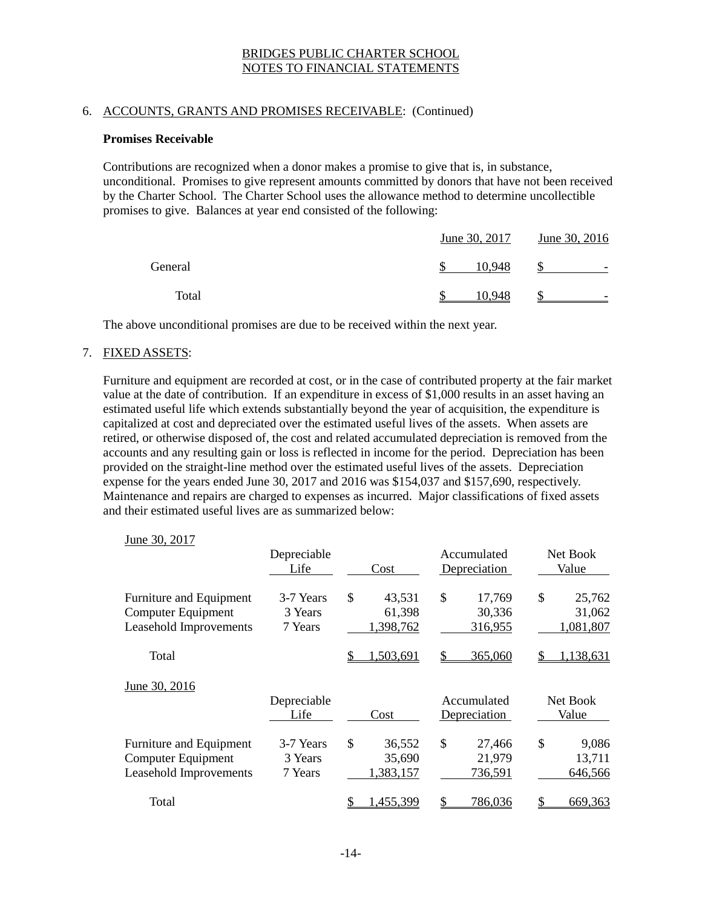# 6. ACCOUNTS, GRANTS AND PROMISES RECEIVABLE: (Continued)

#### **Promises Receivable**

Contributions are recognized when a donor makes a promise to give that is, in substance, unconditional. Promises to give represent amounts committed by donors that have not been received by the Charter School. The Charter School uses the allowance method to determine uncollectible promises to give. Balances at year end consisted of the following:

|         | June 30, 2017 | June 30, 2016            |  |
|---------|---------------|--------------------------|--|
| General | 10.948        | $\overline{\phantom{0}}$ |  |
| Total   | 10.948        | $\overline{\phantom{0}}$ |  |

The above unconditional promises are due to be received within the next year.

## 7. FIXED ASSETS:

Furniture and equipment are recorded at cost, or in the case of contributed property at the fair market value at the date of contribution. If an expenditure in excess of \$1,000 results in an asset having an estimated useful life which extends substantially beyond the year of acquisition, the expenditure is capitalized at cost and depreciated over the estimated useful lives of the assets. When assets are retired, or otherwise disposed of, the cost and related accumulated depreciation is removed from the accounts and any resulting gain or loss is reflected in income for the period. Depreciation has been provided on the straight-line method over the estimated useful lives of the assets. Depreciation expense for the years ended June 30, 2017 and 2016 was \$154,037 and \$157,690, respectively. Maintenance and repairs are charged to expenses as incurred. Major classifications of fixed assets and their estimated useful lives are as summarized below:

## June 30, 2017

|                                                                         | Depreciable<br>Life             | Cost                                | Accumulated<br>Depreciation       | Net Book<br>Value                   |
|-------------------------------------------------------------------------|---------------------------------|-------------------------------------|-----------------------------------|-------------------------------------|
| Furniture and Equipment<br>Computer Equipment<br>Leasehold Improvements | 3-7 Years<br>3 Years<br>7 Years | \$<br>43,531<br>61,398<br>1,398,762 | \$<br>17,769<br>30,336<br>316,955 | \$<br>25,762<br>31,062<br>1,081,807 |
| Total                                                                   |                                 | 1,503,691                           | 365,060                           | 1,138,631                           |
| June 30, 2016                                                           | Depreciable<br>Life             | Cost                                | Accumulated<br>Depreciation       | Net Book<br>Value                   |
| Furniture and Equipment<br>Computer Equipment<br>Leasehold Improvements | 3-7 Years<br>3 Years<br>7 Years | \$<br>36,552<br>35,690<br>1,383,157 | \$<br>27,466<br>21,979<br>736,591 | \$<br>9,086<br>13,711<br>646,566    |
| Total                                                                   |                                 | 1,455,399                           | \$<br>786,036                     | 669,363                             |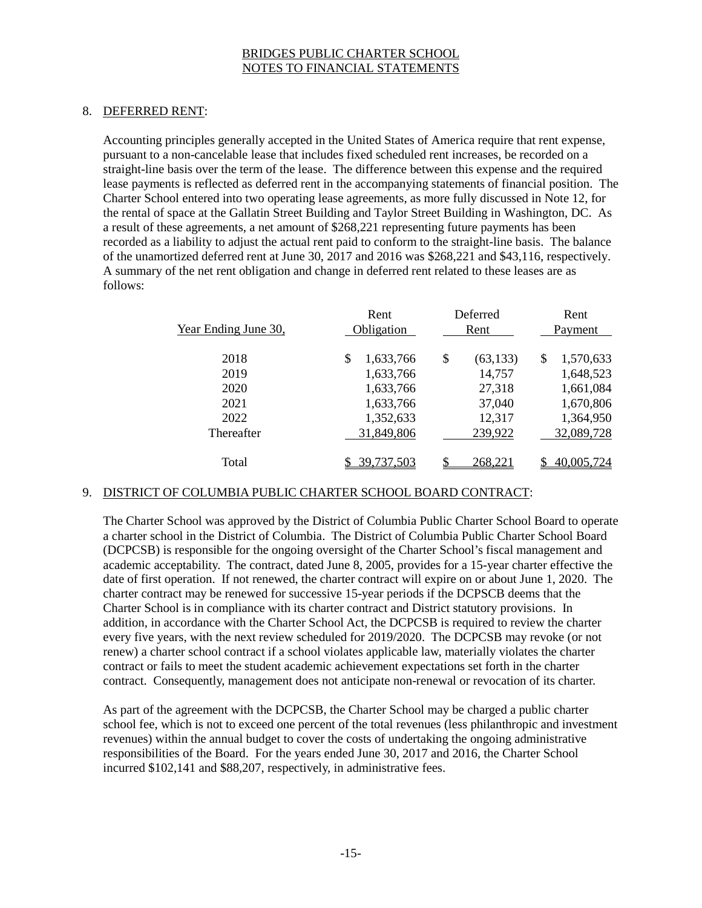## 8. DEFERRED RENT:

Accounting principles generally accepted in the United States of America require that rent expense, pursuant to a non-cancelable lease that includes fixed scheduled rent increases, be recorded on a straight-line basis over the term of the lease. The difference between this expense and the required lease payments is reflected as deferred rent in the accompanying statements of financial position. The Charter School entered into two operating lease agreements, as more fully discussed in Note 12, for the rental of space at the Gallatin Street Building and Taylor Street Building in Washington, DC. As a result of these agreements, a net amount of \$268,221 representing future payments has been recorded as a liability to adjust the actual rent paid to conform to the straight-line basis. The balance of the unamortized deferred rent at June 30, 2017 and 2016 was \$268,221 and \$43,116, respectively. A summary of the net rent obligation and change in deferred rent related to these leases are as follows:

|                      | Rent            | Deferred        | Rent           |  |
|----------------------|-----------------|-----------------|----------------|--|
| Year Ending June 30, | Obligation      | Rent            | Payment        |  |
| 2018                 | \$<br>1,633,766 | \$<br>(63, 133) | 1,570,633<br>S |  |
| 2019                 | 1,633,766       | 14,757          | 1,648,523      |  |
| 2020                 | 1,633,766       | 27,318          | 1,661,084      |  |
| 2021                 | 1,633,766       | 37,040          | 1,670,806      |  |
| 2022                 | 1,352,633       | 12,317          | 1,364,950      |  |
| Thereafter           | 31,849,806      | 239,922         | 32,089,728     |  |
| Total                | 39,737,503      | 268,221         | 40,005,724     |  |

# 9. DISTRICT OF COLUMBIA PUBLIC CHARTER SCHOOL BOARD CONTRACT:

The Charter School was approved by the District of Columbia Public Charter School Board to operate a charter school in the District of Columbia. The District of Columbia Public Charter School Board (DCPCSB) is responsible for the ongoing oversight of the Charter School's fiscal management and academic acceptability. The contract, dated June 8, 2005, provides for a 15-year charter effective the date of first operation. If not renewed, the charter contract will expire on or about June 1, 2020. The charter contract may be renewed for successive 15-year periods if the DCPSCB deems that the Charter School is in compliance with its charter contract and District statutory provisions. In addition, in accordance with the Charter School Act, the DCPCSB is required to review the charter every five years, with the next review scheduled for 2019/2020. The DCPCSB may revoke (or not renew) a charter school contract if a school violates applicable law, materially violates the charter contract or fails to meet the student academic achievement expectations set forth in the charter contract. Consequently, management does not anticipate non-renewal or revocation of its charter.

As part of the agreement with the DCPCSB, the Charter School may be charged a public charter school fee, which is not to exceed one percent of the total revenues (less philanthropic and investment revenues) within the annual budget to cover the costs of undertaking the ongoing administrative responsibilities of the Board. For the years ended June 30, 2017 and 2016, the Charter School incurred \$102,141 and \$88,207, respectively, in administrative fees.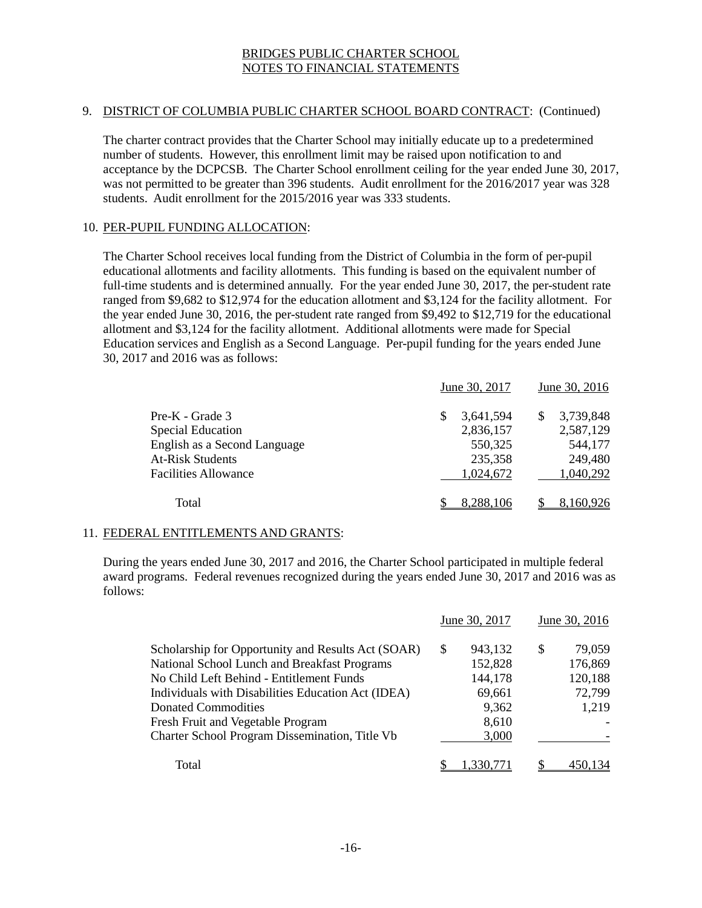## 9. DISTRICT OF COLUMBIA PUBLIC CHARTER SCHOOL BOARD CONTRACT: (Continued)

The charter contract provides that the Charter School may initially educate up to a predetermined number of students. However, this enrollment limit may be raised upon notification to and acceptance by the DCPCSB. The Charter School enrollment ceiling for the year ended June 30, 2017, was not permitted to be greater than 396 students. Audit enrollment for the 2016/2017 year was 328 students. Audit enrollment for the 2015/2016 year was 333 students.

## 10. PER-PUPIL FUNDING ALLOCATION:

The Charter School receives local funding from the District of Columbia in the form of per-pupil educational allotments and facility allotments. This funding is based on the equivalent number of full-time students and is determined annually. For the year ended June 30, 2017, the per-student rate ranged from \$9,682 to \$12,974 for the education allotment and \$3,124 for the facility allotment. For the year ended June 30, 2016, the per-student rate ranged from \$9,492 to \$12,719 for the educational allotment and \$3,124 for the facility allotment. Additional allotments were made for Special Education services and English as a Second Language. Per-pupil funding for the years ended June 30, 2017 and 2016 was as follows:

|                              |   | June 30, 2017 |     | June 30, 2016 |
|------------------------------|---|---------------|-----|---------------|
| Pre-K - Grade 3              | S | 3,641,594     | \$. | 3,739,848     |
| <b>Special Education</b>     |   | 2,836,157     |     | 2,587,129     |
| English as a Second Language |   | 550,325       |     | 544,177       |
| <b>At-Risk Students</b>      |   | 235,358       |     | 249,480       |
| <b>Facilities Allowance</b>  |   | 1,024,672     |     | 1,040,292     |
| Total                        |   | 8.288.106     |     | 160.926       |

## 11. FEDERAL ENTITLEMENTS AND GRANTS:

During the years ended June 30, 2017 and 2016, the Charter School participated in multiple federal award programs. Federal revenues recognized during the years ended June 30, 2017 and 2016 was as follows:

|                                                    |   | June 30, 2017 |     | June 30, 2016 |
|----------------------------------------------------|---|---------------|-----|---------------|
| Scholarship for Opportunity and Results Act (SOAR) | S | 943,132       | \$. | 79,059        |
| National School Lunch and Breakfast Programs       |   | 152,828       |     | 176,869       |
| No Child Left Behind - Entitlement Funds           |   | 144,178       |     | 120,188       |
| Individuals with Disabilities Education Act (IDEA) |   | 69,661        |     | 72,799        |
| Donated Commodities                                |   | 9,362         |     | 1,219         |
| Fresh Fruit and Vegetable Program                  |   | 8,610         |     |               |
| Charter School Program Dissemination, Title Vb     |   | 3,000         |     |               |
| Total                                              |   |               |     |               |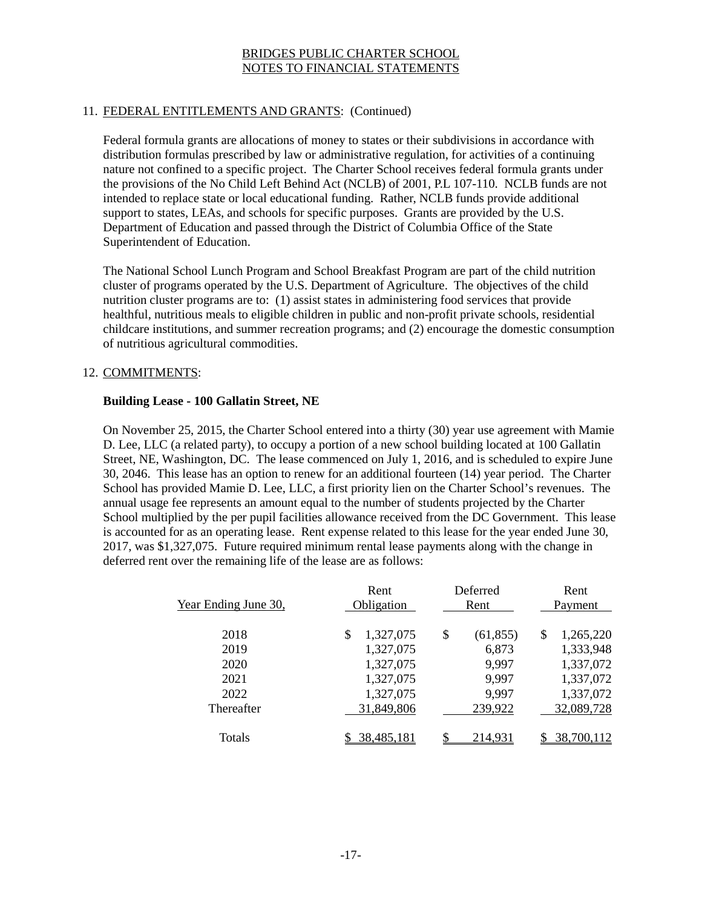# 11. FEDERAL ENTITLEMENTS AND GRANTS: (Continued)

Federal formula grants are allocations of money to states or their subdivisions in accordance with distribution formulas prescribed by law or administrative regulation, for activities of a continuing nature not confined to a specific project. The Charter School receives federal formula grants under the provisions of the No Child Left Behind Act (NCLB) of 2001, P.L 107-110. NCLB funds are not intended to replace state or local educational funding. Rather, NCLB funds provide additional support to states, LEAs, and schools for specific purposes. Grants are provided by the U.S. Department of Education and passed through the District of Columbia Office of the State Superintendent of Education.

The National School Lunch Program and School Breakfast Program are part of the child nutrition cluster of programs operated by the U.S. Department of Agriculture. The objectives of the child nutrition cluster programs are to: (1) assist states in administering food services that provide healthful, nutritious meals to eligible children in public and non-profit private schools, residential childcare institutions, and summer recreation programs; and (2) encourage the domestic consumption of nutritious agricultural commodities.

## 12. COMMITMENTS:

#### **Building Lease - 100 Gallatin Street, NE**

On November 25, 2015, the Charter School entered into a thirty (30) year use agreement with Mamie D. Lee, LLC (a related party), to occupy a portion of a new school building located at 100 Gallatin Street, NE, Washington, DC. The lease commenced on July 1, 2016, and is scheduled to expire June 30, 2046. This lease has an option to renew for an additional fourteen (14) year period. The Charter School has provided Mamie D. Lee, LLC, a first priority lien on the Charter School's revenues. The annual usage fee represents an amount equal to the number of students projected by the Charter School multiplied by the per pupil facilities allowance received from the DC Government. This lease is accounted for as an operating lease. Rent expense related to this lease for the year ended June 30, 2017, was \$1,327,075. Future required minimum rental lease payments along with the change in deferred rent over the remaining life of the lease are as follows:

| Year Ending June 30, | Deferred<br>Rent<br>Obligation<br>Rent |                 | Rent<br>Payment |  |
|----------------------|----------------------------------------|-----------------|-----------------|--|
| 2018                 | 1,327,075<br>\$                        | \$<br>(61, 855) | 1,265,220<br>S  |  |
| 2019                 | 1,327,075                              | 6,873           | 1,333,948       |  |
| 2020                 | 1,327,075                              | 9,997           | 1,337,072       |  |
| 2021                 | 1,327,075                              | 9,997           | 1,337,072       |  |
| 2022                 | 1,327,075                              | 9,997           | 1,337,072       |  |
| Thereafter           | 31,849,806                             | 239,922         | 32,089,728      |  |
| Totals               | 38,485,181                             | ¢<br>214,931    | 38,700,112      |  |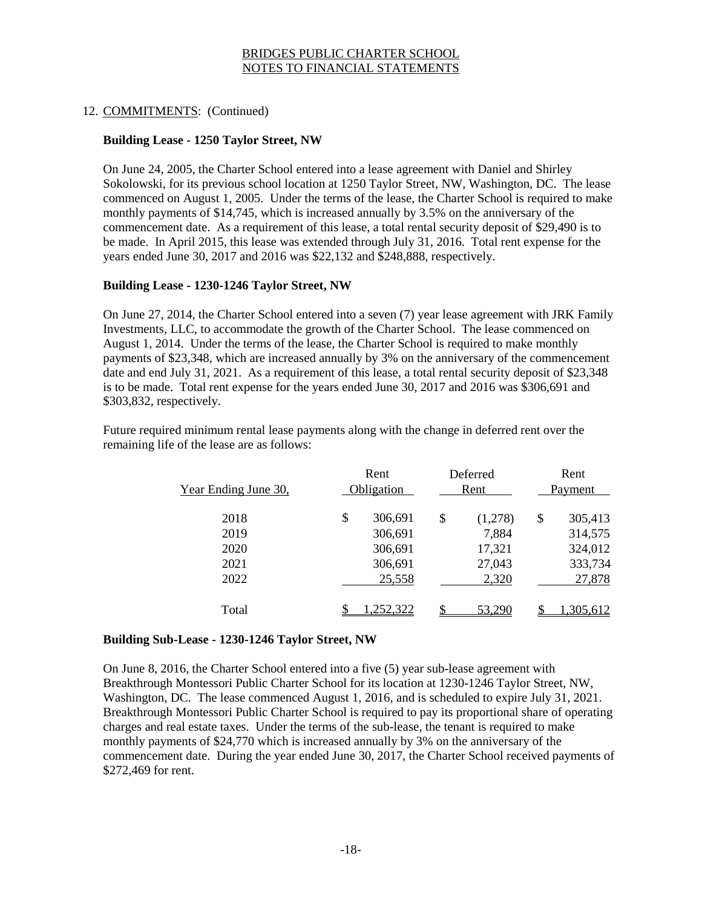# 12. COMMITMENTS: (Continued)

## **Building Lease - 1250 Taylor Street, NW**

On June 24, 2005, the Charter School entered into a lease agreement with Daniel and Shirley Sokolowski, for its previous school location at 1250 Taylor Street, NW, Washington, DC. The lease commenced on August 1, 2005. Under the terms of the lease, the Charter School is required to make monthly payments of \$14,745, which is increased annually by 3.5% on the anniversary of the commencement date. As a requirement of this lease, a total rental security deposit of \$29,490 is to be made. In April 2015, this lease was extended through July 31, 2016. Total rent expense for the years ended June 30, 2017 and 2016 was \$22,132 and \$248,888, respectively.

## **Building Lease - 1230-1246 Taylor Street, NW**

On June 27, 2014, the Charter School entered into a seven (7) year lease agreement with JRK Family Investments, LLC, to accommodate the growth of the Charter School. The lease commenced on August 1, 2014. Under the terms of the lease, the Charter School is required to make monthly payments of \$23,348, which are increased annually by 3% on the anniversary of the commencement date and end July 31, 2021. As a requirement of this lease, a total rental security deposit of \$23,348 is to be made. Total rent expense for the years ended June 30, 2017 and 2016 was \$306,691 and \$303,832, respectively.

|                      | Rent |                 |    | Deferred |    | Rent     |         |  |
|----------------------|------|-----------------|----|----------|----|----------|---------|--|
| Year Ending June 30, |      | Obligation      |    | Rent     |    |          | Payment |  |
| 2018                 | \$   | 306,691         | \$ | (1,278)  | \$ | 305,413  |         |  |
| 2019                 |      | 306,691         |    | 7,884    |    | 314,575  |         |  |
| 2020                 |      | 306,691         |    | 17,321   |    | 324,012  |         |  |
| 2021                 |      | 306,691         |    | 27,043   |    | 333,734  |         |  |
| 2022                 |      | 25,558          |    | 2,320    |    | 27,878   |         |  |
| Total                |      | <u>,252,322</u> |    | 53.290   |    | .305.612 |         |  |

Future required minimum rental lease payments along with the change in deferred rent over the remaining life of the lease are as follows:

## **Building Sub-Lease - 1230-1246 Taylor Street, NW**

On June 8, 2016, the Charter School entered into a five (5) year sub-lease agreement with Breakthrough Montessori Public Charter School for its location at 1230-1246 Taylor Street, NW, Washington, DC. The lease commenced August 1, 2016, and is scheduled to expire July 31, 2021. Breakthrough Montessori Public Charter School is required to pay its proportional share of operating charges and real estate taxes. Under the terms of the sub-lease, the tenant is required to make monthly payments of \$24,770 which is increased annually by 3% on the anniversary of the commencement date. During the year ended June 30, 2017, the Charter School received payments of \$272,469 for rent.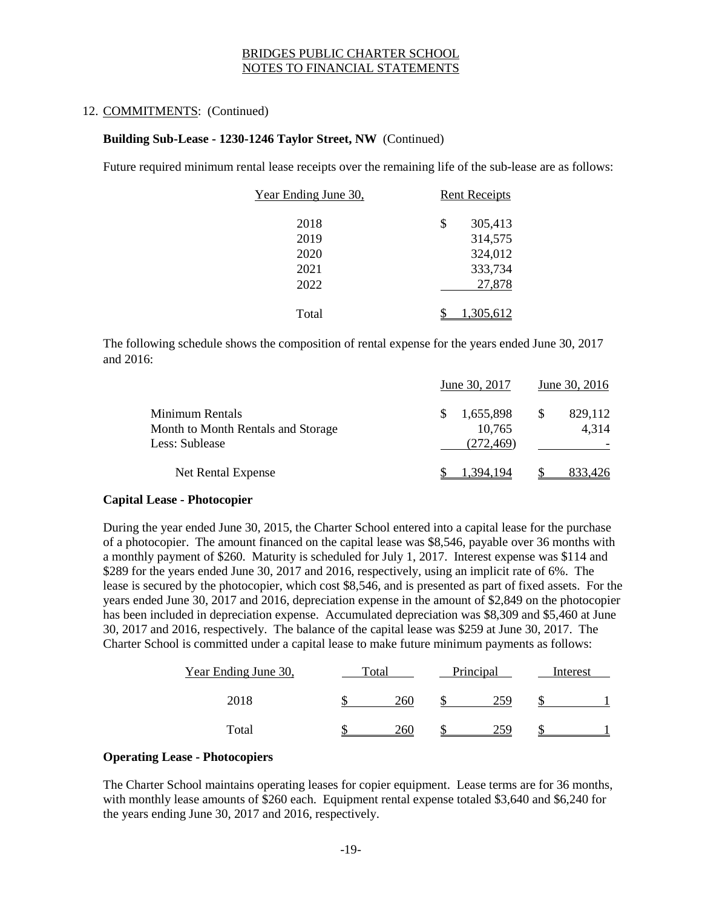# 12. COMMITMENTS: (Continued)

# **Building Sub-Lease - 1230-1246 Taylor Street, NW** (Continued)

Future required minimum rental lease receipts over the remaining life of the sub-lease are as follows:

| Year Ending June 30, | <b>Rent Receipts</b> |  |  |
|----------------------|----------------------|--|--|
| 2018                 | \$<br>305,413        |  |  |
| 2019                 | 314,575              |  |  |
| 2020                 | 324,012              |  |  |
| 2021                 | 333,734              |  |  |
| 2022                 | 27,878               |  |  |
|                      |                      |  |  |
| Total                | 1.305.               |  |  |

The following schedule shows the composition of rental expense for the years ended June 30, 2017 and 2016:

|                                    | June 30, 2017 | June 30, 2016 |
|------------------------------------|---------------|---------------|
| Minimum Rentals                    | 1,655,898     | 829,112       |
| Month to Month Rentals and Storage | 10.765        | 4.314         |
| Less: Sublease                     | (272, 469)    |               |
| Net Rental Expense                 | 1 394 194     | 833.426       |

## **Capital Lease - Photocopier**

During the year ended June 30, 2015, the Charter School entered into a capital lease for the purchase of a photocopier. The amount financed on the capital lease was \$8,546, payable over 36 months with a monthly payment of \$260. Maturity is scheduled for July 1, 2017. Interest expense was \$114 and \$289 for the years ended June 30, 2017 and 2016, respectively, using an implicit rate of 6%. The lease is secured by the photocopier, which cost \$8,546, and is presented as part of fixed assets. For the years ended June 30, 2017 and 2016, depreciation expense in the amount of \$2,849 on the photocopier has been included in depreciation expense. Accumulated depreciation was \$8,309 and \$5,460 at June 30, 2017 and 2016, respectively. The balance of the capital lease was \$259 at June 30, 2017. The Charter School is committed under a capital lease to make future minimum payments as follows:

| Year Ending June 30, | Total | Principal | Interest |  |
|----------------------|-------|-----------|----------|--|
| 2018                 | 260   | 259       |          |  |
| Total                | 260   | 259       |          |  |

## **Operating Lease - Photocopiers**

The Charter School maintains operating leases for copier equipment. Lease terms are for 36 months, with monthly lease amounts of \$260 each. Equipment rental expense totaled \$3,640 and \$6,240 for the years ending June 30, 2017 and 2016, respectively.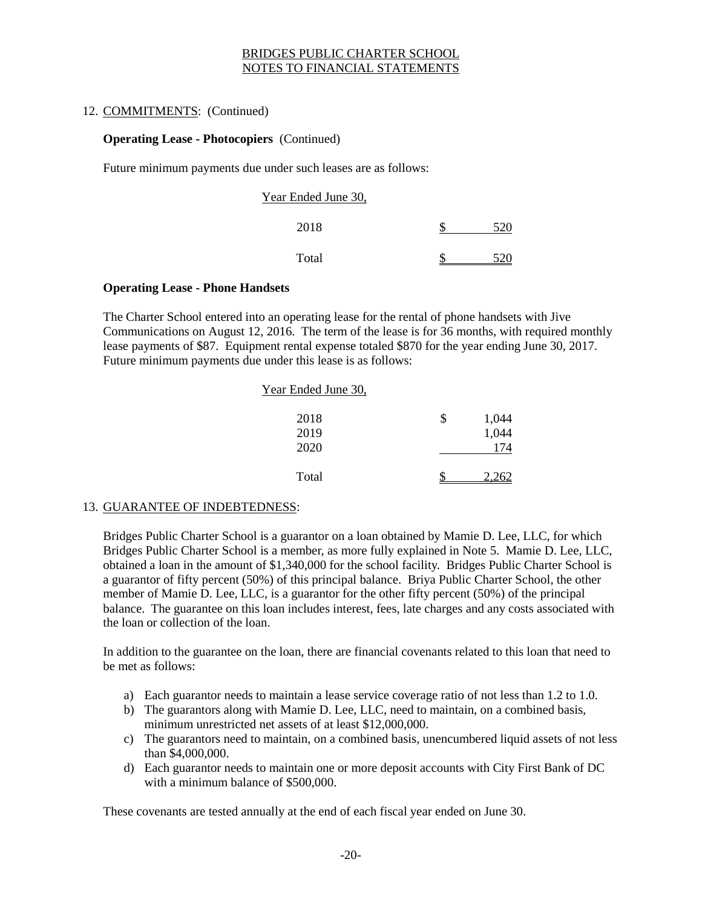# 12. COMMITMENTS: (Continued)

# **Operating Lease - Photocopiers** (Continued)

Future minimum payments due under such leases are as follows:

## Year Ended June 30,

| 2018  | 520 |
|-------|-----|
| Total | 520 |

#### **Operating Lease - Phone Handsets**

The Charter School entered into an operating lease for the rental of phone handsets with Jive Communications on August 12, 2016. The term of the lease is for 36 months, with required monthly lease payments of \$87. Equipment rental expense totaled \$870 for the year ending June 30, 2017. Future minimum payments due under this lease is as follows:

| Year Ended June 30, |   |       |
|---------------------|---|-------|
| 2018                | S | 1,044 |
| 2019                |   | 1,044 |
| 2020                |   | 174   |
| Total               |   |       |

## 13. GUARANTEE OF INDEBTEDNESS:

Bridges Public Charter School is a guarantor on a loan obtained by Mamie D. Lee, LLC, for which Bridges Public Charter School is a member, as more fully explained in Note 5. Mamie D. Lee, LLC, obtained a loan in the amount of \$1,340,000 for the school facility. Bridges Public Charter School is a guarantor of fifty percent (50%) of this principal balance. Briya Public Charter School, the other member of Mamie D. Lee, LLC, is a guarantor for the other fifty percent (50%) of the principal balance. The guarantee on this loan includes interest, fees, late charges and any costs associated with the loan or collection of the loan.

In addition to the guarantee on the loan, there are financial covenants related to this loan that need to be met as follows:

- a) Each guarantor needs to maintain a lease service coverage ratio of not less than 1.2 to 1.0.
- b) The guarantors along with Mamie D. Lee, LLC, need to maintain, on a combined basis, minimum unrestricted net assets of at least \$12,000,000.
- c) The guarantors need to maintain, on a combined basis, unencumbered liquid assets of not less than \$4,000,000.
- d) Each guarantor needs to maintain one or more deposit accounts with City First Bank of DC with a minimum balance of \$500,000.

These covenants are tested annually at the end of each fiscal year ended on June 30.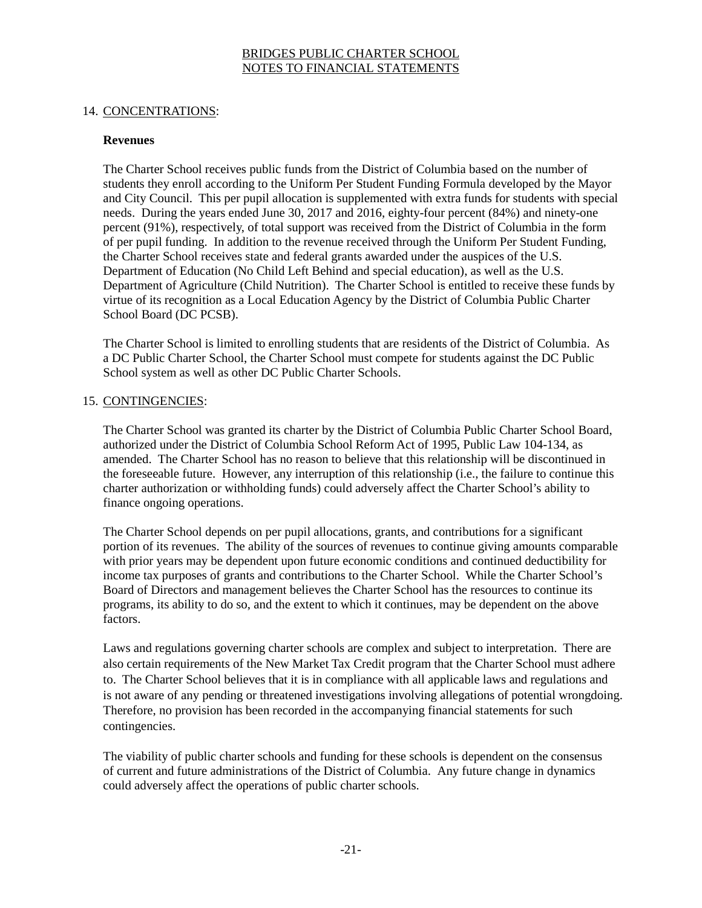#### 14. CONCENTRATIONS:

#### **Revenues**

The Charter School receives public funds from the District of Columbia based on the number of students they enroll according to the Uniform Per Student Funding Formula developed by the Mayor and City Council. This per pupil allocation is supplemented with extra funds for students with special needs. During the years ended June 30, 2017 and 2016, eighty-four percent (84%) and ninety-one percent (91%), respectively, of total support was received from the District of Columbia in the form of per pupil funding. In addition to the revenue received through the Uniform Per Student Funding, the Charter School receives state and federal grants awarded under the auspices of the U.S. Department of Education (No Child Left Behind and special education), as well as the U.S. Department of Agriculture (Child Nutrition). The Charter School is entitled to receive these funds by virtue of its recognition as a Local Education Agency by the District of Columbia Public Charter School Board (DC PCSB).

The Charter School is limited to enrolling students that are residents of the District of Columbia. As a DC Public Charter School, the Charter School must compete for students against the DC Public School system as well as other DC Public Charter Schools.

#### 15. CONTINGENCIES:

The Charter School was granted its charter by the District of Columbia Public Charter School Board, authorized under the District of Columbia School Reform Act of 1995, Public Law 104-134, as amended. The Charter School has no reason to believe that this relationship will be discontinued in the foreseeable future. However, any interruption of this relationship (i.e., the failure to continue this charter authorization or withholding funds) could adversely affect the Charter School's ability to finance ongoing operations.

The Charter School depends on per pupil allocations, grants, and contributions for a significant portion of its revenues. The ability of the sources of revenues to continue giving amounts comparable with prior years may be dependent upon future economic conditions and continued deductibility for income tax purposes of grants and contributions to the Charter School. While the Charter School's Board of Directors and management believes the Charter School has the resources to continue its programs, its ability to do so, and the extent to which it continues, may be dependent on the above factors.

Laws and regulations governing charter schools are complex and subject to interpretation. There are also certain requirements of the New Market Tax Credit program that the Charter School must adhere to. The Charter School believes that it is in compliance with all applicable laws and regulations and is not aware of any pending or threatened investigations involving allegations of potential wrongdoing. Therefore, no provision has been recorded in the accompanying financial statements for such contingencies.

The viability of public charter schools and funding for these schools is dependent on the consensus of current and future administrations of the District of Columbia. Any future change in dynamics could adversely affect the operations of public charter schools.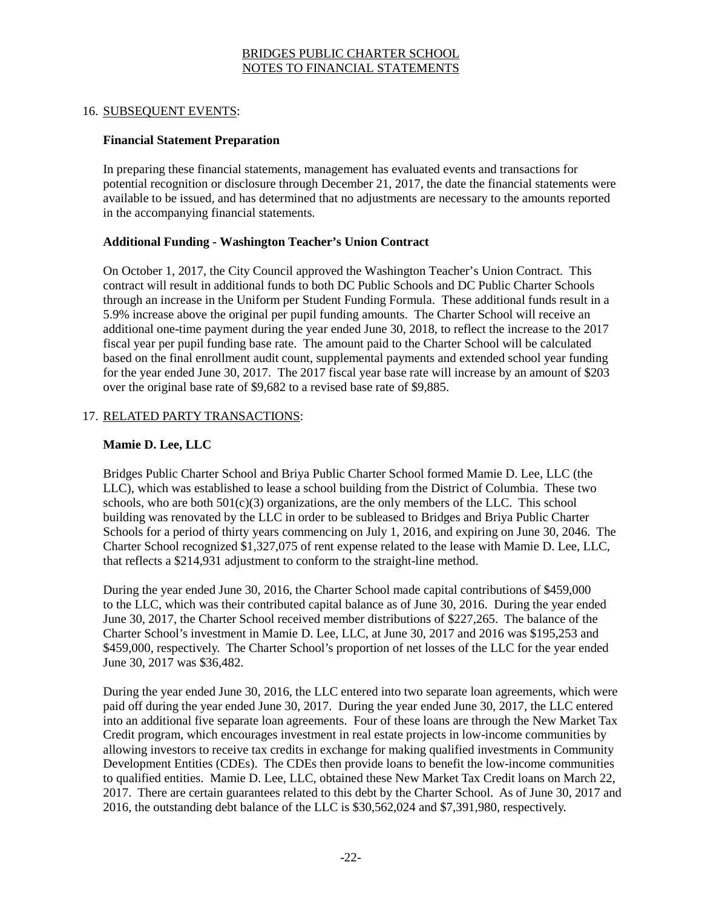#### 16. SUBSEQUENT EVENTS:

#### **Financial Statement Preparation**

In preparing these financial statements, management has evaluated events and transactions for potential recognition or disclosure through December 21, 2017, the date the financial statements were available to be issued, and has determined that no adjustments are necessary to the amounts reported in the accompanying financial statements.

## **Additional Funding - Washington Teacher's Union Contract**

On October 1, 2017, the City Council approved the Washington Teacher's Union Contract. This contract will result in additional funds to both DC Public Schools and DC Public Charter Schools through an increase in the Uniform per Student Funding Formula. These additional funds result in a 5.9% increase above the original per pupil funding amounts. The Charter School will receive an additional one-time payment during the year ended June 30, 2018, to reflect the increase to the 2017 fiscal year per pupil funding base rate. The amount paid to the Charter School will be calculated based on the final enrollment audit count, supplemental payments and extended school year funding for the year ended June 30, 2017. The 2017 fiscal year base rate will increase by an amount of \$203 over the original base rate of \$9,682 to a revised base rate of \$9,885.

## 17. RELATED PARTY TRANSACTIONS:

# **Mamie D. Lee, LLC**

Bridges Public Charter School and Briya Public Charter School formed Mamie D. Lee, LLC (the LLC), which was established to lease a school building from the District of Columbia. These two schools, who are both  $501(c)(3)$  organizations, are the only members of the LLC. This school building was renovated by the LLC in order to be subleased to Bridges and Briya Public Charter Schools for a period of thirty years commencing on July 1, 2016, and expiring on June 30, 2046. The Charter School recognized \$1,327,075 of rent expense related to the lease with Mamie D. Lee, LLC, that reflects a \$214,931 adjustment to conform to the straight-line method.

During the year ended June 30, 2016, the Charter School made capital contributions of \$459,000 to the LLC, which was their contributed capital balance as of June 30, 2016. During the year ended June 30, 2017, the Charter School received member distributions of \$227,265. The balance of the Charter School's investment in Mamie D. Lee, LLC, at June 30, 2017 and 2016 was \$195,253 and \$459,000, respectively. The Charter School's proportion of net losses of the LLC for the year ended June 30, 2017 was \$36,482.

During the year ended June 30, 2016, the LLC entered into two separate loan agreements, which were paid off during the year ended June 30, 2017. During the year ended June 30, 2017, the LLC entered into an additional five separate loan agreements. Four of these loans are through the New Market Tax Credit program, which encourages investment in real estate projects in low-income communities by allowing investors to receive tax credits in exchange for making qualified investments in Community Development Entities (CDEs). The CDEs then provide loans to benefit the low-income communities to qualified entities. Mamie D. Lee, LLC, obtained these New Market Tax Credit loans on March 22, 2017. There are certain guarantees related to this debt by the Charter School. As of June 30, 2017 and 2016, the outstanding debt balance of the LLC is \$30,562,024 and \$7,391,980, respectively.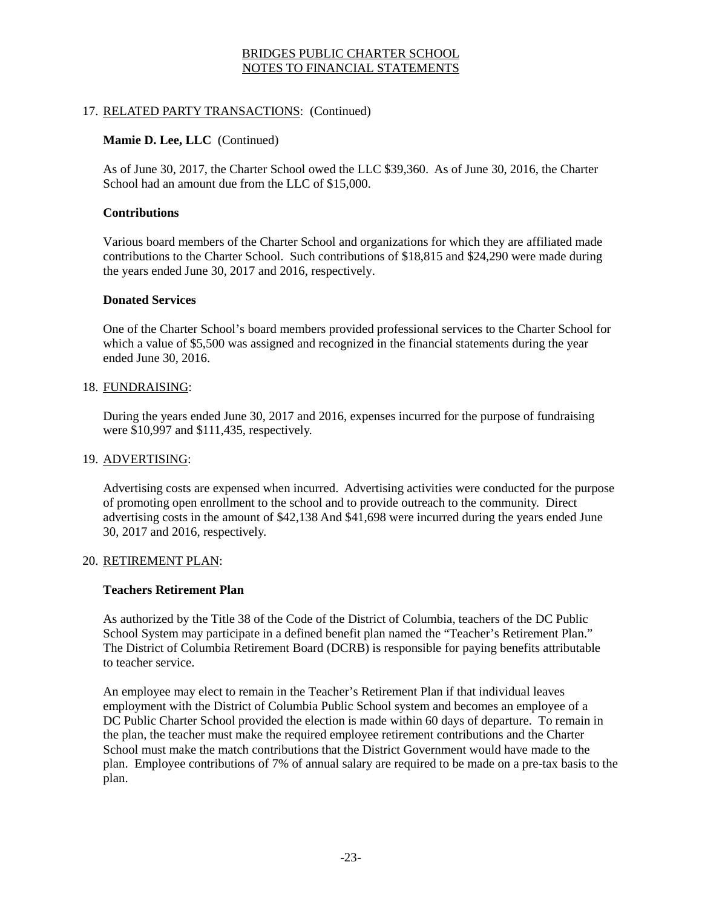# 17. RELATED PARTY TRANSACTIONS: (Continued)

## **Mamie D. Lee, LLC** (Continued)

As of June 30, 2017, the Charter School owed the LLC \$39,360. As of June 30, 2016, the Charter School had an amount due from the LLC of \$15,000.

#### **Contributions**

Various board members of the Charter School and organizations for which they are affiliated made contributions to the Charter School. Such contributions of \$18,815 and \$24,290 were made during the years ended June 30, 2017 and 2016, respectively.

#### **Donated Services**

One of the Charter School's board members provided professional services to the Charter School for which a value of \$5,500 was assigned and recognized in the financial statements during the year ended June 30, 2016.

#### 18. FUNDRAISING:

During the years ended June 30, 2017 and 2016, expenses incurred for the purpose of fundraising were \$10,997 and \$111,435, respectively.

#### 19. ADVERTISING:

Advertising costs are expensed when incurred. Advertising activities were conducted for the purpose of promoting open enrollment to the school and to provide outreach to the community. Direct advertising costs in the amount of \$42,138 And \$41,698 were incurred during the years ended June 30, 2017 and 2016, respectively.

#### 20. RETIREMENT PLAN:

## **Teachers Retirement Plan**

As authorized by the Title 38 of the Code of the District of Columbia, teachers of the DC Public School System may participate in a defined benefit plan named the "Teacher's Retirement Plan." The District of Columbia Retirement Board (DCRB) is responsible for paying benefits attributable to teacher service.

An employee may elect to remain in the Teacher's Retirement Plan if that individual leaves employment with the District of Columbia Public School system and becomes an employee of a DC Public Charter School provided the election is made within 60 days of departure. To remain in the plan, the teacher must make the required employee retirement contributions and the Charter School must make the match contributions that the District Government would have made to the plan. Employee contributions of 7% of annual salary are required to be made on a pre-tax basis to the plan.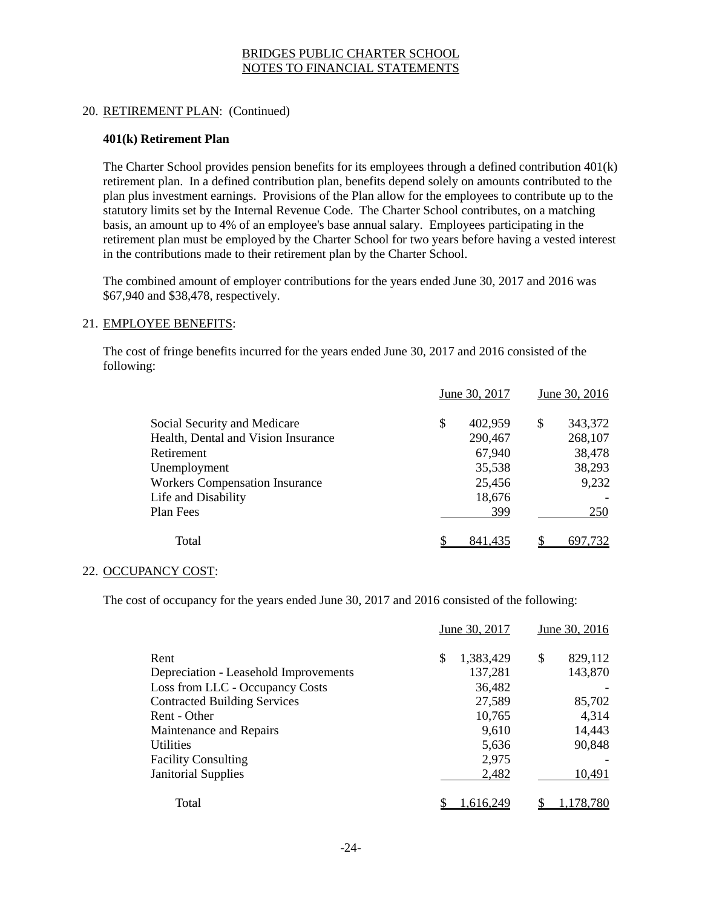## 20. RETIREMENT PLAN: (Continued)

#### **401(k) Retirement Plan**

The Charter School provides pension benefits for its employees through a defined contribution 401(k) retirement plan. In a defined contribution plan, benefits depend solely on amounts contributed to the plan plus investment earnings. Provisions of the Plan allow for the employees to contribute up to the statutory limits set by the Internal Revenue Code. The Charter School contributes, on a matching basis, an amount up to 4% of an employee's base annual salary. Employees participating in the retirement plan must be employed by the Charter School for two years before having a vested interest in the contributions made to their retirement plan by the Charter School.

The combined amount of employer contributions for the years ended June 30, 2017 and 2016 was \$67,940 and \$38,478, respectively.

#### 21. EMPLOYEE BENEFITS:

The cost of fringe benefits incurred for the years ended June 30, 2017 and 2016 consisted of the following:

|                                       | June 30, 2017 | June 30, 2016 |
|---------------------------------------|---------------|---------------|
| Social Security and Medicare          | \$<br>402,959 | \$<br>343,372 |
| Health, Dental and Vision Insurance   | 290,467       | 268,107       |
| Retirement                            | 67,940        | 38,478        |
| Unemployment                          | 35,538        | 38,293        |
| <b>Workers Compensation Insurance</b> | 25,456        | 9,232         |
| Life and Disability                   | 18,676        |               |
| Plan Fees                             | 399           | 250           |
|                                       |               |               |
| Total                                 | 841,435       | 697.732       |

#### 22. OCCUPANCY COST:

The cost of occupancy for the years ended June 30, 2017 and 2016 consisted of the following:

|                                       | June 30, 2017   | June 30, 2016 |
|---------------------------------------|-----------------|---------------|
| Rent                                  | \$<br>1,383,429 | \$<br>829,112 |
| Depreciation - Leasehold Improvements | 137,281         | 143,870       |
| Loss from LLC - Occupancy Costs       | 36,482          |               |
| <b>Contracted Building Services</b>   | 27,589          | 85,702        |
| Rent - Other                          | 10,765          | 4,314         |
| Maintenance and Repairs               | 9,610           | 14,443        |
| Utilities                             | 5,636           | 90,848        |
| <b>Facility Consulting</b>            | 2,975           |               |
| <b>Janitorial Supplies</b>            | 2,482           | 10,491        |
| Total                                 | .616.249        |               |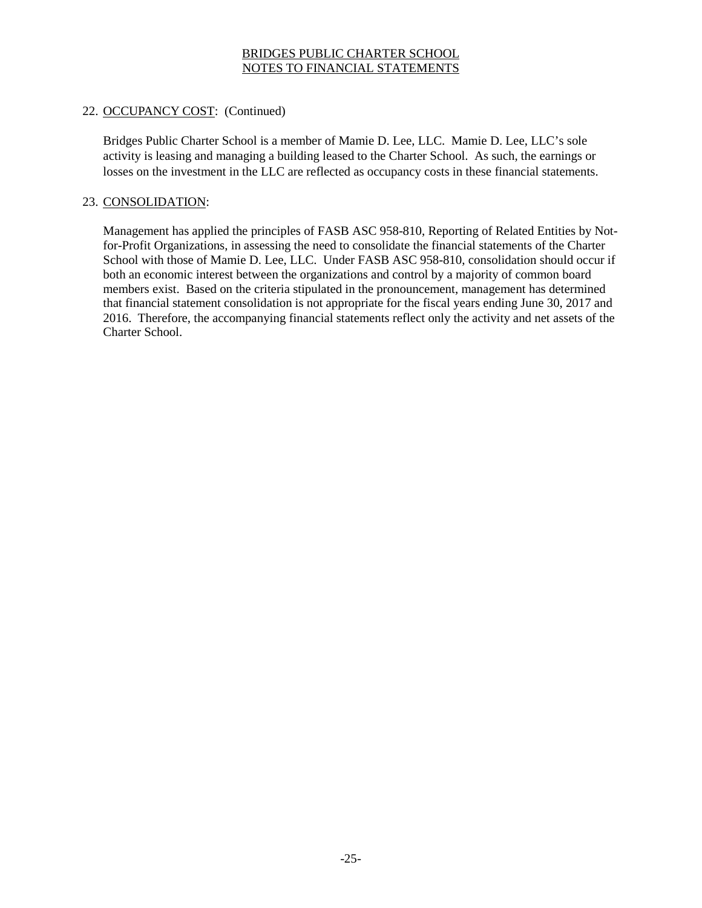# 22. OCCUPANCY COST: (Continued)

Bridges Public Charter School is a member of Mamie D. Lee, LLC. Mamie D. Lee, LLC's sole activity is leasing and managing a building leased to the Charter School. As such, the earnings or losses on the investment in the LLC are reflected as occupancy costs in these financial statements.

## 23. CONSOLIDATION:

Management has applied the principles of FASB ASC 958-810, Reporting of Related Entities by Notfor-Profit Organizations, in assessing the need to consolidate the financial statements of the Charter School with those of Mamie D. Lee, LLC. Under FASB ASC 958-810, consolidation should occur if both an economic interest between the organizations and control by a majority of common board members exist. Based on the criteria stipulated in the pronouncement, management has determined that financial statement consolidation is not appropriate for the fiscal years ending June 30, 2017 and 2016. Therefore, the accompanying financial statements reflect only the activity and net assets of the Charter School.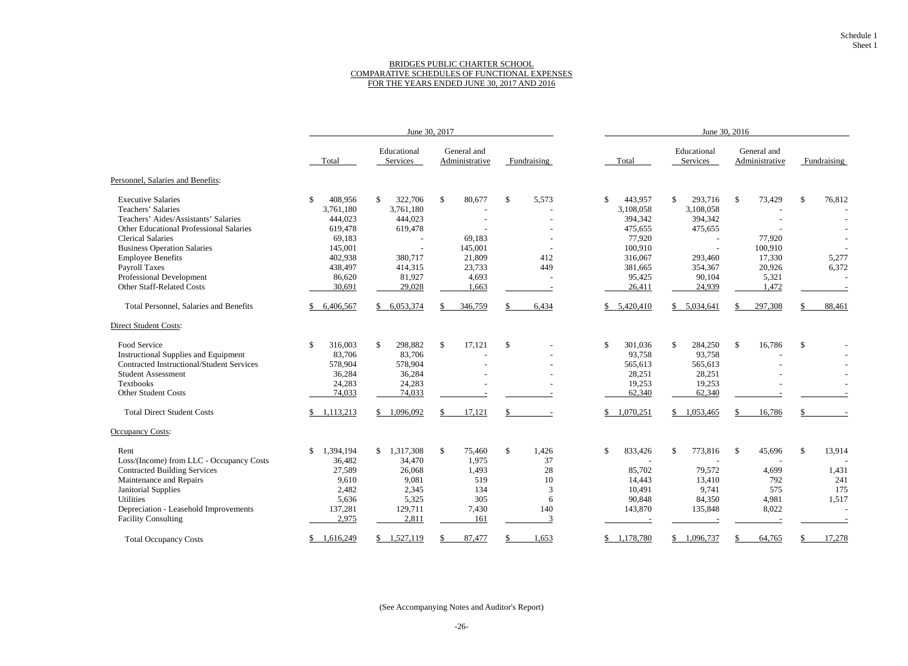#### BRIDGES PUBLIC CHARTER SCHOOL COMPARATIVE SCHEDULES OF FUNCTIONAL EXPENSES FOR THE YEARS ENDED JUNE 30, 2017 AND 2016

|                                                  | June 30, 2017              |                         |                               |                       |                 | June 30, 2016                  |                               |                         |  |  |
|--------------------------------------------------|----------------------------|-------------------------|-------------------------------|-----------------------|-----------------|--------------------------------|-------------------------------|-------------------------|--|--|
|                                                  | Total                      | Educational<br>Services | General and<br>Administrative | Fundraising           | Total           | Educational<br><b>Services</b> | General and<br>Administrative | Fundraising             |  |  |
| Personnel, Salaries and Benefits:                |                            |                         |                               |                       |                 |                                |                               |                         |  |  |
| <b>Executive Salaries</b>                        | 408,956<br><sup>\$</sup>   | 322,706<br>$\mathbb{S}$ | $\mathbb{S}$<br>80,677        | $\mathbb{S}$<br>5,573 | \$.<br>443,957  | $\mathbb{S}$<br>293,716        | 73,429<br>$\mathbb{S}$        | \$<br>76,812            |  |  |
| Teachers' Salaries                               | 3,761,180                  | 3,761,180               |                               |                       | 3,108,058       | 3,108,058                      |                               |                         |  |  |
| Teachers' Aides/Assistants' Salaries             | 444,023                    | 444,023                 |                               |                       | 394,342         | 394,342                        |                               |                         |  |  |
| <b>Other Educational Professional Salaries</b>   | 619,478                    | 619,478                 |                               |                       | 475,655         | 475,655                        |                               |                         |  |  |
| <b>Clerical Salaries</b>                         | 69,183                     |                         | 69,183                        |                       | 77,920          |                                | 77,920                        |                         |  |  |
| <b>Business Operation Salaries</b>               | 145,001                    | $\sim$                  | 145,001                       |                       | 100,910         |                                | 100,910                       |                         |  |  |
| <b>Employee Benefits</b>                         | 402,938                    | 380,717                 | 21,809                        | 412                   | 316,067         | 293,460                        | 17,330                        | 5,277                   |  |  |
| <b>Payroll Taxes</b>                             | 438,497                    | 414,315                 | 23,733                        | 449                   | 381,665         | 354,367                        | 20,926                        | 6,372                   |  |  |
| Professional Development                         | 86,620                     | 81,927                  | 4,693                         |                       | 95,425          | 90,104                         | 5,321                         |                         |  |  |
| Other Staff-Related Costs                        | 30,691                     | 29,028                  | 1,663                         |                       | 26,411          | 24,939                         | 1,472                         |                         |  |  |
| Total Personnel, Salaries and Benefits           | 6,406,567                  | 6,053,374               | 346,759                       | 6,434                 | 5,420,410       | 5,034,641                      | 297,308                       | 88,461                  |  |  |
| Direct Student Costs:                            |                            |                         |                               |                       |                 |                                |                               |                         |  |  |
| Food Service                                     | 316,003<br>$\mathbb{S}$    | 298,882<br>$\mathbb{S}$ | $\sqrt$<br>17,121             | \$                    | \$.<br>301,036  | \$<br>284,250                  | 16,786<br>\$                  | \$                      |  |  |
| <b>Instructional Supplies and Equipment</b>      | 83,706                     | 83,706                  |                               |                       | 93,758          | 93,758                         |                               |                         |  |  |
| <b>Contracted Instructional/Student Services</b> | 578,904                    | 578,904                 |                               |                       | 565,613         | 565,613                        |                               |                         |  |  |
| <b>Student Assessment</b>                        | 36,284                     | 36,284                  |                               |                       | 28,251          | 28,251                         |                               |                         |  |  |
| Textbooks                                        | 24,283                     | 24,283                  |                               |                       | 19,253          | 19,253                         |                               |                         |  |  |
| <b>Other Student Costs</b>                       | 74,033                     | 74,033                  |                               |                       | 62,340          | 62,340                         |                               |                         |  |  |
| <b>Total Direct Student Costs</b>                | 1,113,213                  | \$1,096,092             | 17,121                        |                       | 1,070,251       | 1,053,465                      | 16,786                        |                         |  |  |
| <b>Occupancy Costs:</b>                          |                            |                         |                               |                       |                 |                                |                               |                         |  |  |
| Rent                                             | 1,394,194<br><sup>\$</sup> | \$1,317,308             | $\mathbb{S}$<br>75,460        | $\mathbb{S}$<br>1,426 | \$<br>833,426   | 773,816<br>$\mathbb{S}$        | $\mathbb{S}$<br>45,696        | 13,914<br><sup>\$</sup> |  |  |
| Loss/(Income) from LLC - Occupancy Costs         | 36,482                     | 34,470                  | 1,975                         | 37                    |                 |                                |                               |                         |  |  |
| <b>Contracted Building Services</b>              | 27,589                     | 26,068                  | 1,493                         | 28                    | 85,702          | 79,572                         | 4,699                         | 1,431                   |  |  |
| Maintenance and Repairs                          | 9,610                      | 9,081                   | 519                           | 10                    | 14,443          | 13,410                         | 792                           | 241                     |  |  |
| Janitorial Supplies                              | 2,482                      | 2,345                   | 134                           | 3                     | 10,491          | 9,741                          | 575                           | 175                     |  |  |
| <b>Utilities</b>                                 | 5,636                      | 5,325                   | 305                           | 6                     | 90,848          | 84,350                         | 4,981                         | 1,517                   |  |  |
| Depreciation - Leasehold Improvements            | 137,281                    | 129,711                 | 7,430                         | 140                   | 143,870         | 135,848                        | 8,022                         |                         |  |  |
| <b>Facility Consulting</b>                       | 2,975                      | 2,811                   | 161                           | 3                     |                 |                                |                               |                         |  |  |
| <b>Total Occupancy Costs</b>                     | 1,616,249                  | \$1,527,119             | 87,477                        | 1,653                 | 1,178,780<br>\$ | 1,096,737                      | 64,765                        | 17,278                  |  |  |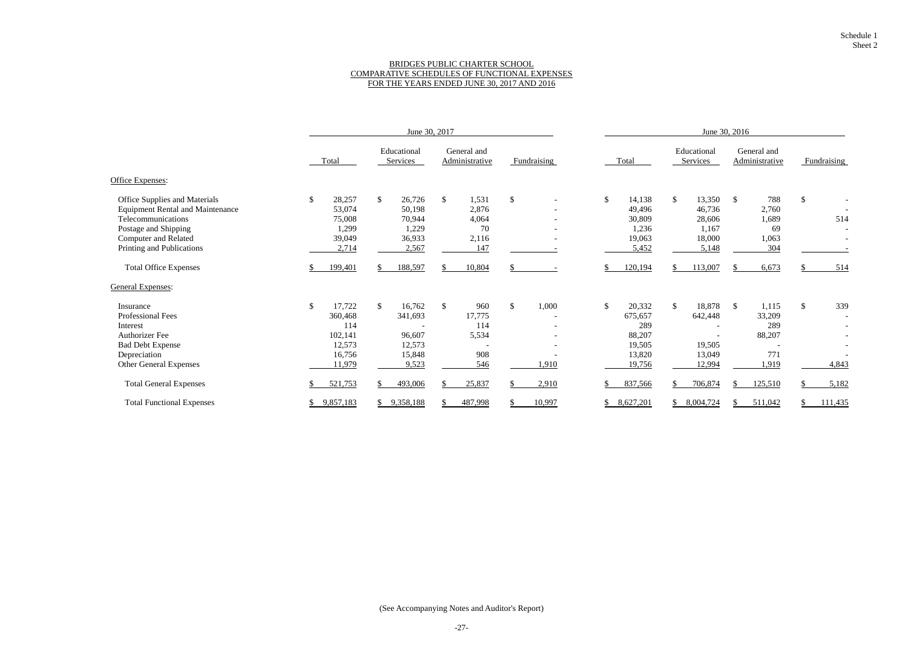#### BRIDGES PUBLIC CHARTER SCHOOL COMPARATIVE SCHEDULES OF FUNCTIONAL EXPENSES FOR THE YEARS ENDED JUNE 30, 2017 AND 2016

|                                                                                                                                                                             |                                                                         | June 30, 2017                                                            |                                                               |                      |                                                                         | June 30, 2016                                                                           |                                                  |                             |  |
|-----------------------------------------------------------------------------------------------------------------------------------------------------------------------------|-------------------------------------------------------------------------|--------------------------------------------------------------------------|---------------------------------------------------------------|----------------------|-------------------------------------------------------------------------|-----------------------------------------------------------------------------------------|--------------------------------------------------|-----------------------------|--|
|                                                                                                                                                                             | Total                                                                   | Educational<br><b>Services</b>                                           | General and<br>Administrative                                 | Fundraising          | Total                                                                   | Educational<br>Services                                                                 | General and<br>Administrative                    | Fundraising                 |  |
| Office Expenses:                                                                                                                                                            |                                                                         |                                                                          |                                                               |                      |                                                                         |                                                                                         |                                                  |                             |  |
| Office Supplies and Materials<br><b>Equipment Rental and Maintenance</b><br>Telecommunications<br>Postage and Shipping<br>Computer and Related<br>Printing and Publications | \$<br>28,257<br>53,074<br>75,008<br>1,299<br>39,049<br>2,714            | $\mathbb{S}$<br>26,726<br>50,198<br>70,944<br>1,229<br>36,933<br>2,567   | $\mathbb{S}$<br>1,531<br>2,876<br>4,064<br>70<br>2,116<br>147 | \$                   | $\mathcal{S}$<br>14,138<br>49,496<br>30,809<br>1,236<br>19,063<br>5,452 | $\mathbb{S}$<br>13,350<br>$\mathcal{S}$<br>46,736<br>28,606<br>1,167<br>18,000<br>5,148 | 788<br>2,760<br>1,689<br>69<br>1,063<br>304      | $\mathbb{S}$<br>514         |  |
| <b>Total Office Expenses</b>                                                                                                                                                | 199,401                                                                 | 188,597<br>S.                                                            | 10,804                                                        |                      | 120,194                                                                 | 113,007<br>S                                                                            | 6,673                                            | 514                         |  |
| General Expenses:                                                                                                                                                           |                                                                         |                                                                          |                                                               |                      |                                                                         |                                                                                         |                                                  |                             |  |
| Insurance<br>Professional Fees<br>Interest<br>Authorizer Fee<br><b>Bad Debt Expense</b><br>Depreciation<br>Other General Expenses                                           | 17,722<br>\$<br>360,468<br>114<br>102,141<br>12,573<br>16,756<br>11,979 | $\mathbb{S}$<br>16,762<br>341,693<br>96,607<br>12,573<br>15,848<br>9,523 | $\mathbb{S}$<br>960<br>17,775<br>114<br>5,534<br>908<br>546   | \$<br>1,000<br>1,910 | 20,332<br>\$<br>675,657<br>289<br>88,207<br>19,505<br>13,820<br>19,756  | 18,878<br>$\mathbb{S}$<br>$\mathbb{S}$<br>642,448<br>19,505<br>13,049<br>12,994         | 1,115<br>33,209<br>289<br>88,207<br>771<br>1,919 | $\sqrt{\ }$<br>339<br>4,843 |  |
| <b>Total General Expenses</b>                                                                                                                                               | 521,753                                                                 | 493,006<br>\$                                                            | 25,837                                                        | 2,910<br>£.          | 837,566                                                                 | 706,874<br>\$                                                                           | 125,510                                          | 5,182                       |  |
| <b>Total Functional Expenses</b>                                                                                                                                            | 9,857,183                                                               | \$9,358,188                                                              | 487,998                                                       | 10,997               | 8,627,201<br>\$                                                         | 8,004,724                                                                               | 511,042                                          | 111,435                     |  |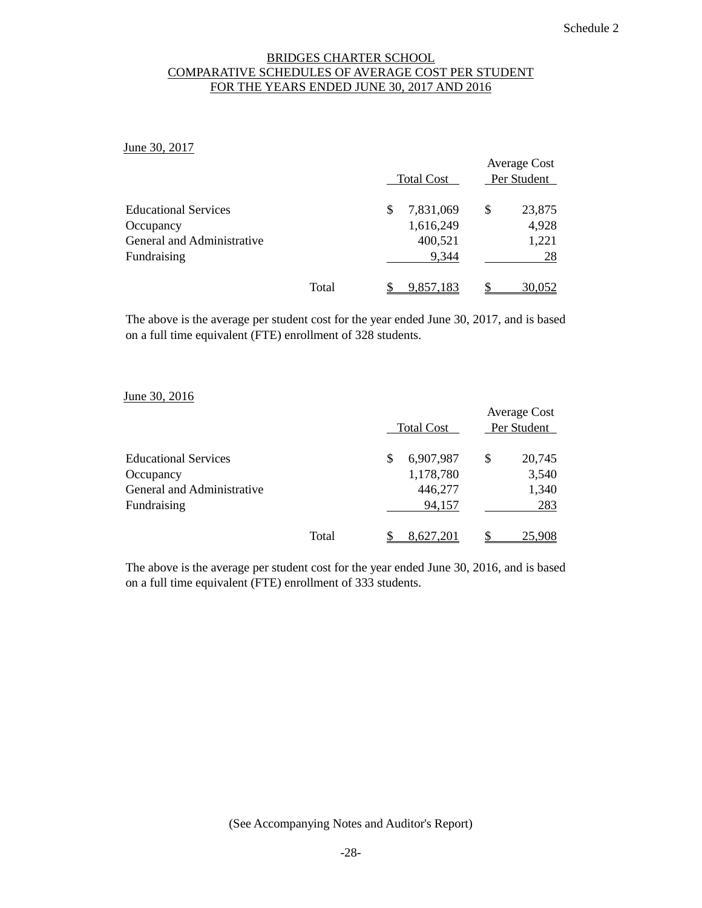## BRIDGES CHARTER SCHOOL COMPARATIVE SCHEDULES OF AVERAGE COST PER STUDENT FOR THE YEARS ENDED JUNE 30, 2017 AND 2016

June 30, 2017

|                             |       | <b>Total Cost</b> |   | <b>Average Cost</b><br>Per Student |
|-----------------------------|-------|-------------------|---|------------------------------------|
| <b>Educational Services</b> |       | 7,831,069         | S | 23,875                             |
| Occupancy                   |       | 1,616,249         |   | 4,928                              |
| General and Administrative  |       | 400,521           |   | 1,221                              |
| Fundraising                 |       | 9,344             |   | 28                                 |
|                             | Total | 9,857,183         |   | 30,052                             |

The above is the average per student cost for the year ended June 30, 2017, and is based on a full time equivalent (FTE) enrollment of 328 students.

#### June 30, 2016

|                             |       |   | <b>Total Cost</b> |   | <b>Average Cost</b><br>Per Student |
|-----------------------------|-------|---|-------------------|---|------------------------------------|
| <b>Educational Services</b> |       | S | 6,907,987         | S | 20,745                             |
| Occupancy                   |       |   | 1,178,780         |   | 3,540                              |
| General and Administrative  |       |   | 446,277           |   | 1,340                              |
| Fundraising                 |       |   | 94,157            |   | 283                                |
|                             | Total |   | 8,627,201         |   | 25,908                             |

The above is the average per student cost for the year ended June 30, 2016, and is based on a full time equivalent (FTE) enrollment of 333 students.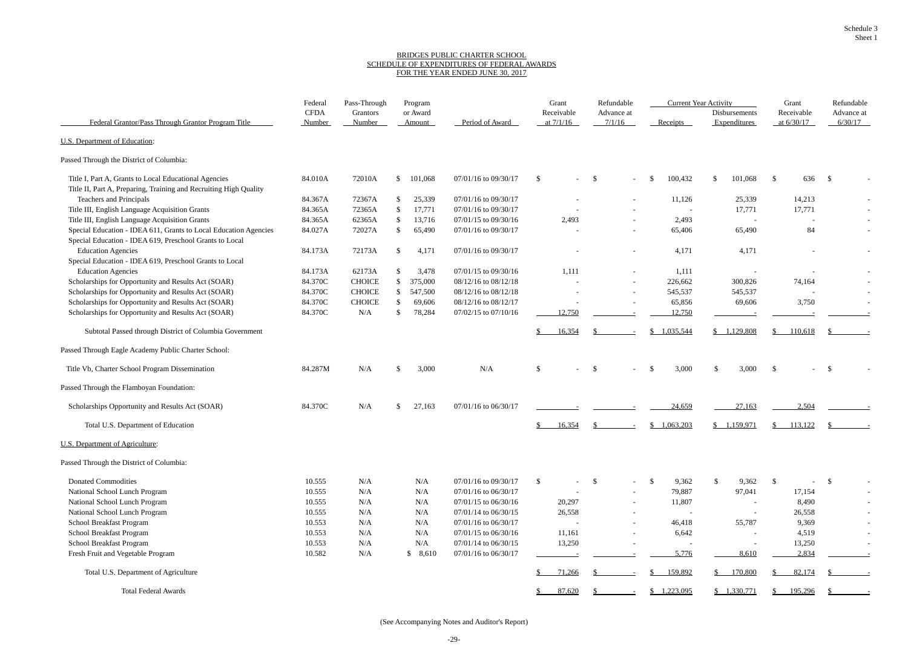#### BRIDGES PUBLIC CHARTER SCHOOL SCHEDULE OF EXPENDITURES OF FEDERAL AWARDS FOR THE YEAR ENDED JUNE 30, 2017

|                                                                   | Federal               | Pass-Through       | Program                  |                      | Grant                     | Refundable               | <b>Current Year Activity</b> |                                      | Grant                          | Refundable            |
|-------------------------------------------------------------------|-----------------------|--------------------|--------------------------|----------------------|---------------------------|--------------------------|------------------------------|--------------------------------------|--------------------------------|-----------------------|
| Federal Grantor/Pass Through Grantor Program Title                | <b>CFDA</b><br>Number | Grantors<br>Number | or Award<br>Amount       | Period of Award      | Receivable<br>at $7/1/16$ | Advance at<br>7/1/16     | Receipts                     | <b>Disbursements</b><br>Expenditures | Receivable<br>at $6/30/17$     | Advance at<br>6/30/17 |
|                                                                   |                       |                    |                          |                      |                           |                          |                              |                                      |                                |                       |
| <b>U.S. Department of Education:</b>                              |                       |                    |                          |                      |                           |                          |                              |                                      |                                |                       |
| Passed Through the District of Columbia:                          |                       |                    |                          |                      |                           |                          |                              |                                      |                                |                       |
| Title I, Part A, Grants to Local Educational Agencies             | 84.010A               | 72010A             | \$101,068                | 07/01/16 to 09/30/17 | \$                        | \$                       | 100,432<br>-S                | -S<br>101,068                        | 636<br>-S                      | \$                    |
| Title II, Part A, Preparing, Training and Recruiting High Quality |                       |                    |                          |                      |                           |                          |                              |                                      |                                |                       |
| Teachers and Principals                                           | 84.367A               | 72367A             | 25,339<br>\$.            | 07/01/16 to 09/30/17 |                           |                          | 11,126                       | 25,339                               | 14,213                         |                       |
| Title III, English Language Acquisition Grants                    | 84.365A               | 72365A             | 17,771<br>S              | 07/01/16 to 09/30/17 |                           |                          |                              | 17,771                               | 17,771                         |                       |
| Title III, English Language Acquisition Grants                    | 84.365A               | 62365A             | 13,716<br>- \$           | 07/01/15 to 09/30/16 | 2,493                     |                          | 2,493                        |                                      | $\overline{\phantom{a}}$       |                       |
| Special Education - IDEA 611, Grants to Local Education Agencies  | 84.027A               | 72027A             | 65,490<br>\$.            | 07/01/16 to 09/30/17 |                           |                          | 65,406                       | 65,490                               | 84                             |                       |
| Special Education - IDEA 619, Preschool Grants to Local           |                       |                    |                          |                      |                           |                          |                              |                                      |                                |                       |
| <b>Education Agencies</b>                                         | 84.173A               | 72173A             | \$<br>4,171              | 07/01/16 to 09/30/17 |                           |                          | 4,171                        | 4,171                                |                                |                       |
| Special Education - IDEA 619, Preschool Grants to Local           |                       |                    |                          |                      |                           |                          |                              |                                      |                                |                       |
| <b>Education Agencies</b>                                         | 84.173A               | 62173A             | 3,478<br>S               | 07/01/15 to 09/30/16 | 1,111                     |                          | 1,111                        |                                      |                                |                       |
| Scholarships for Opportunity and Results Act (SOAR)               | 84.370C               | <b>CHOICE</b>      | \$<br>375,000            | 08/12/16 to 08/12/18 |                           |                          | 226,662                      | 300,826                              | 74,164                         |                       |
| Scholarships for Opportunity and Results Act (SOAR)               | 84.370C               | <b>CHOICE</b>      | 547,500<br><sup>\$</sup> | 08/12/16 to 08/12/18 |                           | $\overline{\phantom{a}}$ | 545,537                      | 545,537                              |                                |                       |
| Scholarships for Opportunity and Results Act (SOAR)               | 84.370C               | <b>CHOICE</b>      | 69,606<br><sup>\$</sup>  | 08/12/16 to 08/12/17 |                           |                          | 65,856                       | 69,606                               | 3,750                          |                       |
| Scholarships for Opportunity and Results Act (SOAR)               | 84.370C               | N/A                | 78,284<br>S              | 07/02/15 to 07/10/16 | 12,750                    |                          | 12,750                       |                                      |                                |                       |
|                                                                   |                       |                    |                          |                      |                           |                          |                              |                                      |                                |                       |
| Subtotal Passed through District of Columbia Government           |                       |                    |                          |                      | 16,354                    |                          | \$1,035,544                  | \$1,129,808                          | <sup>\$</sup><br>110,618       |                       |
| Passed Through Eagle Academy Public Charter School:               |                       |                    |                          |                      |                           |                          |                              |                                      |                                |                       |
| Title Vb, Charter School Program Dissemination                    | 84.287M               | N/A                | 3,000<br>\$.             | N/A                  | \$                        | -\$                      | 3,000<br>-\$                 | 3,000<br><sup>\$</sup>               | -S                             | - \$                  |
| Passed Through the Flamboyan Foundation:                          |                       |                    |                          |                      |                           |                          |                              |                                      |                                |                       |
| Scholarships Opportunity and Results Act (SOAR)                   | 84.370C               | N/A                | 27,163<br>S.             | 07/01/16 to 06/30/17 |                           |                          | 24,659                       | 27,163                               | 2,504                          |                       |
| Total U.S. Department of Education                                |                       |                    |                          |                      | 16,354                    |                          | 1,063,203<br>$\mathbb{S}$    | \$1,159,971                          | 113,122                        |                       |
| U.S. Department of Agriculture:                                   |                       |                    |                          |                      |                           |                          |                              |                                      |                                |                       |
| Passed Through the District of Columbia:                          |                       |                    |                          |                      |                           |                          |                              |                                      |                                |                       |
| <b>Donated Commodities</b>                                        | 10.555                | $\rm N/A$          | N/A                      | 07/01/16 to 09/30/17 | $\mathbb{S}$              | \$                       | $\mathbb{S}$<br>9,362        | 9,362<br>-S                          | -S<br>$\overline{\phantom{a}}$ | \$                    |
|                                                                   |                       |                    | N/A                      | 07/01/16 to 06/30/17 |                           |                          |                              |                                      |                                |                       |
| National School Lunch Program                                     | 10.555                | $\rm N/A$          |                          | 07/01/15 to 06/30/16 |                           |                          | 79,887                       | 97,041                               | 17,154<br>8,490                |                       |
| National School Lunch Program                                     | 10.555                | $\rm N/A$          | N/A                      |                      | 20,297                    |                          | 11,807                       | $\overline{\phantom{a}}$             |                                |                       |
| National School Lunch Program                                     | 10.555                | N/A                | N/A                      | 07/01/14 to 06/30/15 | 26,558                    |                          |                              |                                      | 26,558                         |                       |
| School Breakfast Program                                          | 10.553                | N/A                | N/A                      | 07/01/16 to 06/30/17 |                           |                          | 46,418                       | 55,787                               | 9,369                          |                       |
| School Breakfast Program                                          | 10.553                | N/A                | N/A                      | 07/01/15 to 06/30/16 | 11,161                    | $\overline{\phantom{a}}$ | 6,642                        |                                      | 4,519                          |                       |
| School Breakfast Program                                          | 10.553                | N/A                | N/A                      | 07/01/14 to 06/30/15 | 13,250                    |                          |                              |                                      | 13,250                         |                       |
| Fresh Fruit and Vegetable Program                                 | 10.582                | N/A                | \$8,610                  | 07/01/16 to 06/30/17 |                           |                          | 5,776                        | 8,610                                | 2,834                          |                       |
| Total U.S. Department of Agriculture                              |                       |                    |                          |                      | 71,266                    |                          | 159,892                      | 170,800                              | 82,174                         |                       |
| <b>Total Federal Awards</b>                                       |                       |                    |                          |                      | 87,620                    |                          | $\frac{$1,223,095}{}$        | \$1,330,771                          | 195,296<br>S.                  |                       |
|                                                                   |                       |                    |                          |                      |                           |                          |                              |                                      |                                |                       |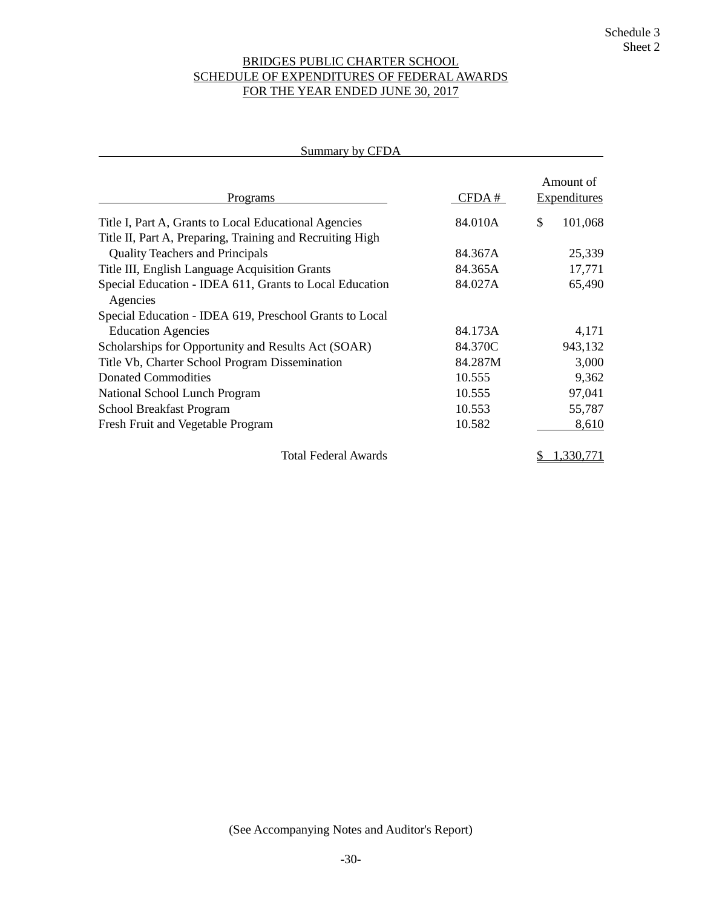## BRIDGES PUBLIC CHARTER SCHOOL SCHEDULE OF EXPENDITURES OF FEDERAL AWARDS FOR THE YEAR ENDED JUNE 30, 2017

| Summary by CFDA                                                     |         |                                  |
|---------------------------------------------------------------------|---------|----------------------------------|
| Programs                                                            | CFDA#   | Amount of<br><b>Expenditures</b> |
| Title I, Part A, Grants to Local Educational Agencies               | 84.010A | \$<br>101,068                    |
| Title II, Part A, Preparing, Training and Recruiting High           |         |                                  |
| <b>Quality Teachers and Principals</b>                              | 84.367A | 25,339                           |
| Title III, English Language Acquisition Grants                      | 84.365A | 17,771                           |
| Special Education - IDEA 611, Grants to Local Education<br>Agencies | 84.027A | 65,490                           |
| Special Education - IDEA 619, Preschool Grants to Local             |         |                                  |
| <b>Education Agencies</b>                                           | 84.173A | 4,171                            |
| Scholarships for Opportunity and Results Act (SOAR)                 | 84.370C | 943,132                          |
| Title Vb, Charter School Program Dissemination                      | 84.287M | 3,000                            |
| Donated Commodities                                                 | 10.555  | 9,362                            |
| National School Lunch Program                                       | 10.555  | 97,041                           |
| School Breakfast Program                                            | 10.553  | 55,787                           |
| Fresh Fruit and Vegetable Program                                   | 10.582  | 8,610                            |
| <b>Total Federal Awards</b>                                         |         | 1,330,771                        |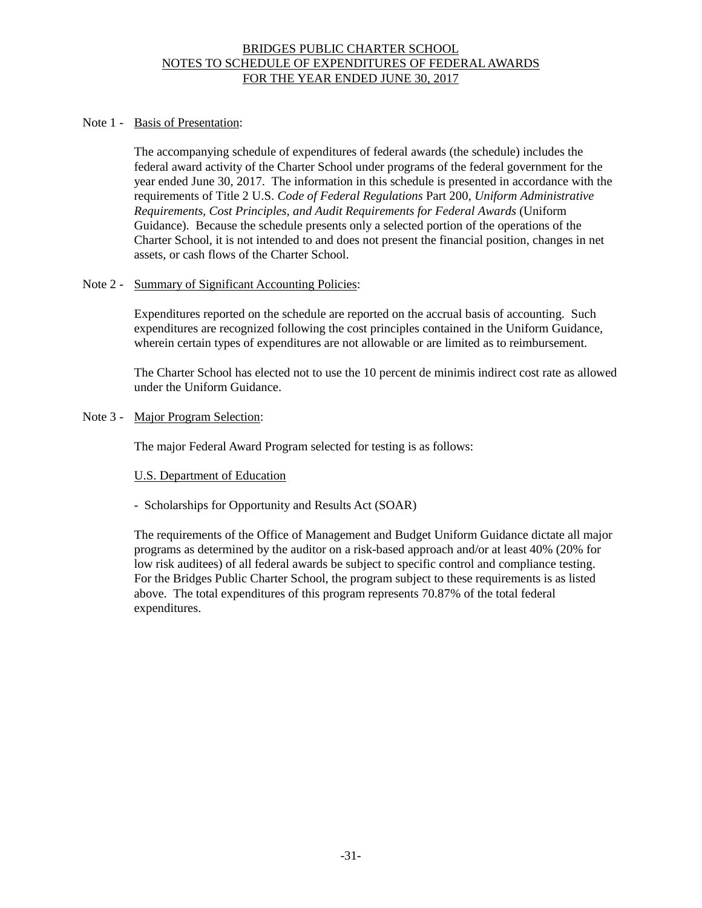## BRIDGES PUBLIC CHARTER SCHOOL NOTES TO SCHEDULE OF EXPENDITURES OF FEDERAL AWARDS FOR THE YEAR ENDED JUNE 30, 2017

## Note 1 - Basis of Presentation:

The accompanying schedule of expenditures of federal awards (the schedule) includes the federal award activity of the Charter School under programs of the federal government for the year ended June 30, 2017. The information in this schedule is presented in accordance with the requirements of Title 2 U.S. *Code of Federal Regulations* Part 200, *Uniform Administrative Requirements, Cost Principles, and Audit Requirements for Federal Awards* (Uniform Guidance). Because the schedule presents only a selected portion of the operations of the Charter School, it is not intended to and does not present the financial position, changes in net assets, or cash flows of the Charter School.

## Note 2 - Summary of Significant Accounting Policies:

Expenditures reported on the schedule are reported on the accrual basis of accounting. Such expenditures are recognized following the cost principles contained in the Uniform Guidance, wherein certain types of expenditures are not allowable or are limited as to reimbursement.

The Charter School has elected not to use the 10 percent de minimis indirect cost rate as allowed under the Uniform Guidance.

## Note 3 - Major Program Selection:

The major Federal Award Program selected for testing is as follows:

## U.S. Department of Education

- Scholarships for Opportunity and Results Act (SOAR)

The requirements of the Office of Management and Budget Uniform Guidance dictate all major programs as determined by the auditor on a risk-based approach and/or at least 40% (20% for low risk auditees) of all federal awards be subject to specific control and compliance testing. For the Bridges Public Charter School, the program subject to these requirements is as listed above. The total expenditures of this program represents 70.87% of the total federal expenditures.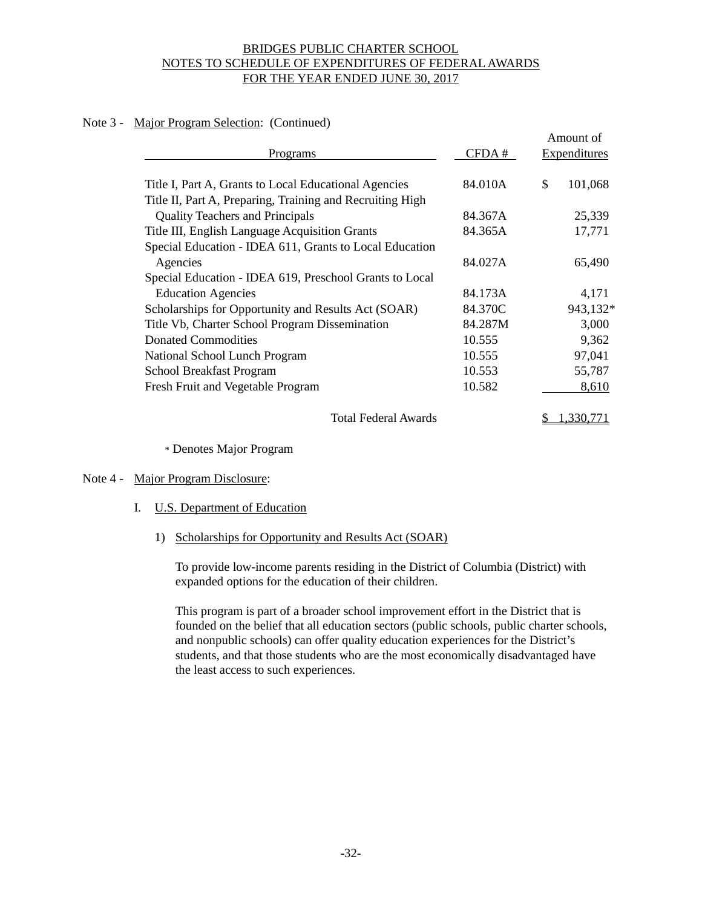## BRIDGES PUBLIC CHARTER SCHOOL NOTES TO SCHEDULE OF EXPENDITURES OF FEDERAL AWARDS FOR THE YEAR ENDED JUNE 30, 2017

## Note 3 - Major Program Selection: (Continued)

| Programs                                                  | CFDA#   |    | Amount of<br>Expenditures |
|-----------------------------------------------------------|---------|----|---------------------------|
|                                                           |         |    |                           |
| Title I, Part A, Grants to Local Educational Agencies     | 84.010A | \$ | 101,068                   |
| Title II, Part A, Preparing, Training and Recruiting High |         |    |                           |
| <b>Quality Teachers and Principals</b>                    | 84.367A |    | 25,339                    |
| Title III, English Language Acquisition Grants            | 84.365A |    | 17,771                    |
| Special Education - IDEA 611, Grants to Local Education   |         |    |                           |
| Agencies                                                  | 84.027A |    | 65,490                    |
| Special Education - IDEA 619, Preschool Grants to Local   |         |    |                           |
| <b>Education Agencies</b>                                 | 84.173A |    | 4,171                     |
| Scholarships for Opportunity and Results Act (SOAR)       | 84.370C |    | 943,132*                  |
| Title Vb, Charter School Program Dissemination            | 84.287M |    | 3,000                     |
| <b>Donated Commodities</b>                                | 10.555  |    | 9,362                     |
| National School Lunch Program                             | 10.555  |    | 97,041                    |
| School Breakfast Program                                  | 10.553  |    | 55,787                    |
| Fresh Fruit and Vegetable Program                         | 10.582  |    | 8,610                     |
|                                                           |         |    |                           |
| <b>Total Federal Awards</b>                               |         | S  | 1,330,771                 |

\* Denotes Major Program

## Note 4 - Major Program Disclosure:

#### I. U.S. Department of Education

## 1) Scholarships for Opportunity and Results Act (SOAR)

To provide low-income parents residing in the District of Columbia (District) with expanded options for the education of their children.

This program is part of a broader school improvement effort in the District that is founded on the belief that all education sectors (public schools, public charter schools, and nonpublic schools) can offer quality education experiences for the District's students, and that those students who are the most economically disadvantaged have the least access to such experiences.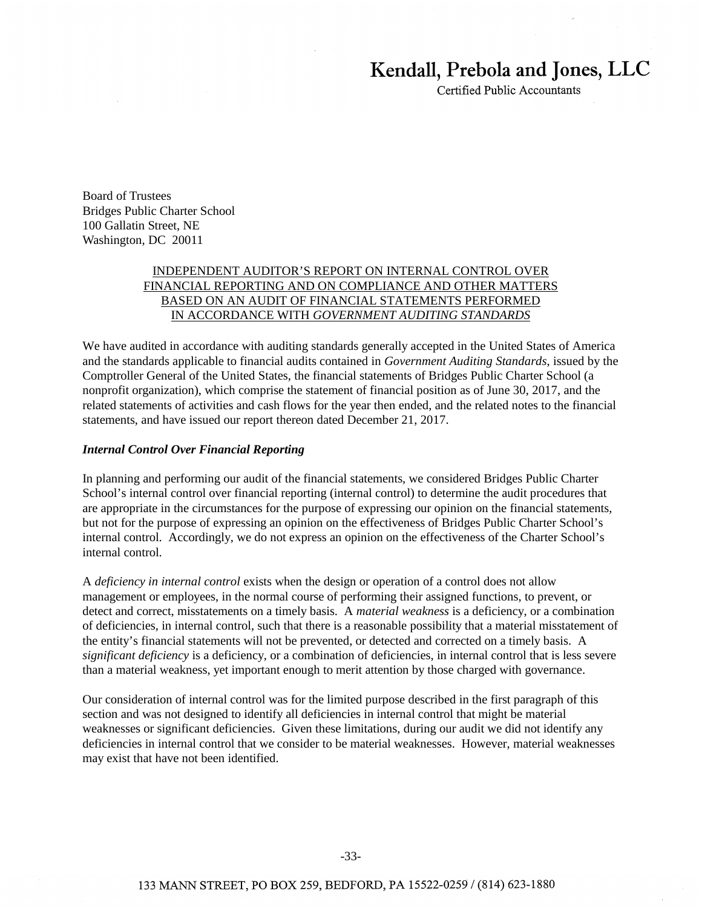# Kendall, Prebola and Jones, LLC

Certified Public Accountants

Board of Trustees Bridges Public Charter School 100 Gallatin Street, NE Washington, DC 20011

# INDEPENDENT AUDITOR'S REPORT ON INTERNAL CONTROL OVER FINANCIAL REPORTING AND ON COMPLIANCE AND OTHER MATTERS BASED ON AN AUDIT OF FINANCIAL STATEMENTS PERFORMED IN ACCORDANCE WITH *GOVERNMENT AUDITING STANDARDS*

We have audited in accordance with auditing standards generally accepted in the United States of America and the standards applicable to financial audits contained in *Government Auditing Standards*, issued by the Comptroller General of the United States, the financial statements of Bridges Public Charter School (a nonprofit organization), which comprise the statement of financial position as of June 30, 2017, and the related statements of activities and cash flows for the year then ended, and the related notes to the financial statements, and have issued our report thereon dated December 21, 2017.

#### *Internal Control Over Financial Reporting*

In planning and performing our audit of the financial statements, we considered Bridges Public Charter School's internal control over financial reporting (internal control) to determine the audit procedures that are appropriate in the circumstances for the purpose of expressing our opinion on the financial statements, but not for the purpose of expressing an opinion on the effectiveness of Bridges Public Charter School's internal control. Accordingly, we do not express an opinion on the effectiveness of the Charter School's internal control.

A *deficiency in internal control* exists when the design or operation of a control does not allow management or employees, in the normal course of performing their assigned functions, to prevent, or detect and correct, misstatements on a timely basis. A *material weakness* is a deficiency, or a combination of deficiencies, in internal control, such that there is a reasonable possibility that a material misstatement of the entity's financial statements will not be prevented, or detected and corrected on a timely basis. A *significant deficiency* is a deficiency, or a combination of deficiencies, in internal control that is less severe than a material weakness, yet important enough to merit attention by those charged with governance.

Our consideration of internal control was for the limited purpose described in the first paragraph of this section and was not designed to identify all deficiencies in internal control that might be material weaknesses or significant deficiencies. Given these limitations, during our audit we did not identify any deficiencies in internal control that we consider to be material weaknesses. However, material weaknesses may exist that have not been identified.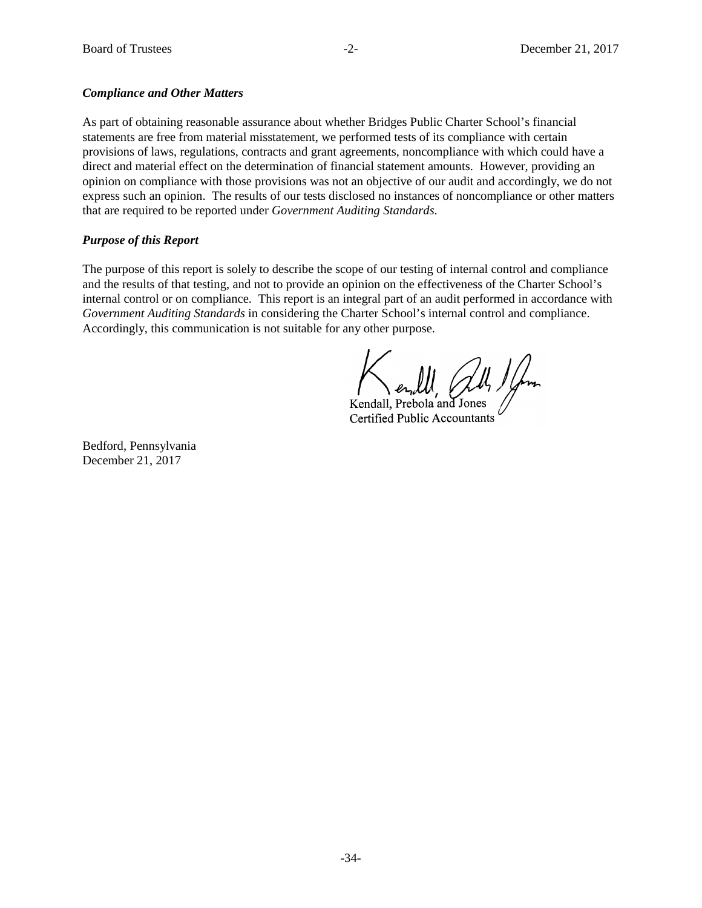# *Compliance and Other Matters*

As part of obtaining reasonable assurance about whether Bridges Public Charter School's financial statements are free from material misstatement, we performed tests of its compliance with certain provisions of laws, regulations, contracts and grant agreements, noncompliance with which could have a direct and material effect on the determination of financial statement amounts. However, providing an opinion on compliance with those provisions was not an objective of our audit and accordingly, we do not express such an opinion. The results of our tests disclosed no instances of noncompliance or other matters that are required to be reported under *Government Auditing Standards*.

# *Purpose of this Report*

The purpose of this report is solely to describe the scope of our testing of internal control and compliance and the results of that testing, and not to provide an opinion on the effectiveness of the Charter School's internal control or on compliance. This report is an integral part of an audit performed in accordance with *Government Auditing Standards* in considering the Charter School's internal control and compliance. Accordingly, this communication is not suitable for any other purpose.

Kendall, Prebola and Jones

Certified Public Accountants

Bedford, Pennsylvania December 21, 2017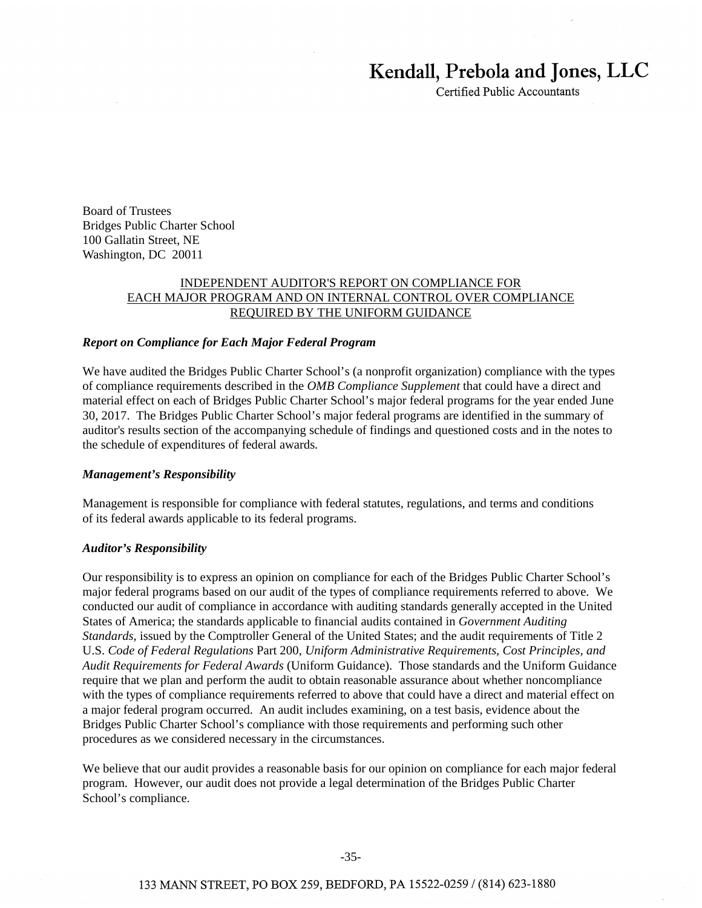# Kendall, Prebola and Jones, LLC

Certified Public Accountants

Board of Trustees Bridges Public Charter School 100 Gallatin Street, NE Washington, DC 20011

## INDEPENDENT AUDITOR'S REPORT ON COMPLIANCE FOR EACH MAJOR PROGRAM AND ON INTERNAL CONTROL OVER COMPLIANCE REQUIRED BY THE UNIFORM GUIDANCE

#### *Report on Compliance for Each Major Federal Program*

We have audited the Bridges Public Charter School's (a nonprofit organization) compliance with the types of compliance requirements described in the *OMB Compliance Supplement* that could have a direct and material effect on each of Bridges Public Charter School's major federal programs for the year ended June 30, 2017. The Bridges Public Charter School's major federal programs are identified in the summary of auditor's results section of the accompanying schedule of findings and questioned costs and in the notes to the schedule of expenditures of federal awards.

#### *Management's Responsibility*

Management is responsible for compliance with federal statutes, regulations, and terms and conditions of its federal awards applicable to its federal programs.

#### *Auditor's Responsibility*

Our responsibility is to express an opinion on compliance for each of the Bridges Public Charter School's major federal programs based on our audit of the types of compliance requirements referred to above. We conducted our audit of compliance in accordance with auditing standards generally accepted in the United States of America; the standards applicable to financial audits contained in *Government Auditing Standards*, issued by the Comptroller General of the United States; and the audit requirements of Title 2 U.S. *Code of Federal Regulations* Part 200, *Uniform Administrative Requirements, Cost Principles, and Audit Requirements for Federal Awards* (Uniform Guidance). Those standards and the Uniform Guidance require that we plan and perform the audit to obtain reasonable assurance about whether noncompliance with the types of compliance requirements referred to above that could have a direct and material effect on a major federal program occurred. An audit includes examining, on a test basis, evidence about the Bridges Public Charter School's compliance with those requirements and performing such other procedures as we considered necessary in the circumstances.

We believe that our audit provides a reasonable basis for our opinion on compliance for each major federal program. However, our audit does not provide a legal determination of the Bridges Public Charter School's compliance.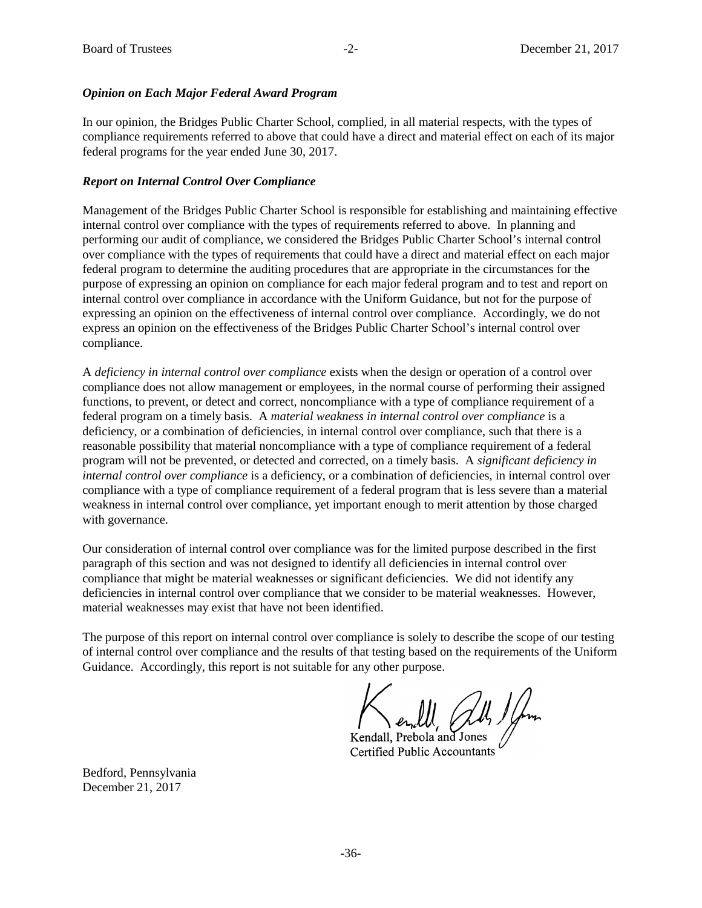#### *Opinion on Each Major Federal Award Program*

In our opinion, the Bridges Public Charter School, complied, in all material respects, with the types of compliance requirements referred to above that could have a direct and material effect on each of its major federal programs for the year ended June 30, 2017.

#### *Report on Internal Control Over Compliance*

Management of the Bridges Public Charter School is responsible for establishing and maintaining effective internal control over compliance with the types of requirements referred to above. In planning and performing our audit of compliance, we considered the Bridges Public Charter School's internal control over compliance with the types of requirements that could have a direct and material effect on each major federal program to determine the auditing procedures that are appropriate in the circumstances for the purpose of expressing an opinion on compliance for each major federal program and to test and report on internal control over compliance in accordance with the Uniform Guidance, but not for the purpose of expressing an opinion on the effectiveness of internal control over compliance. Accordingly, we do not express an opinion on the effectiveness of the Bridges Public Charter School's internal control over compliance.

A *deficiency in internal control over compliance* exists when the design or operation of a control over compliance does not allow management or employees, in the normal course of performing their assigned functions, to prevent, or detect and correct, noncompliance with a type of compliance requirement of a federal program on a timely basis. A *material weakness in internal control over compliance* is a deficiency, or a combination of deficiencies, in internal control over compliance, such that there is a reasonable possibility that material noncompliance with a type of compliance requirement of a federal program will not be prevented, or detected and corrected, on a timely basis. A *significant deficiency in internal control over compliance* is a deficiency, or a combination of deficiencies, in internal control over compliance with a type of compliance requirement of a federal program that is less severe than a material weakness in internal control over compliance, yet important enough to merit attention by those charged with governance.

Our consideration of internal control over compliance was for the limited purpose described in the first paragraph of this section and was not designed to identify all deficiencies in internal control over compliance that might be material weaknesses or significant deficiencies. We did not identify any deficiencies in internal control over compliance that we consider to be material weaknesses. However, material weaknesses may exist that have not been identified.

The purpose of this report on internal control over compliance is solely to describe the scope of our testing of internal control over compliance and the results of that testing based on the requirements of the Uniform Guidance. Accordingly, this report is not suitable for any other purpose.

Kendall, Prebola and Jones Certified Public Accountants

Bedford, Pennsylvania December 21, 2017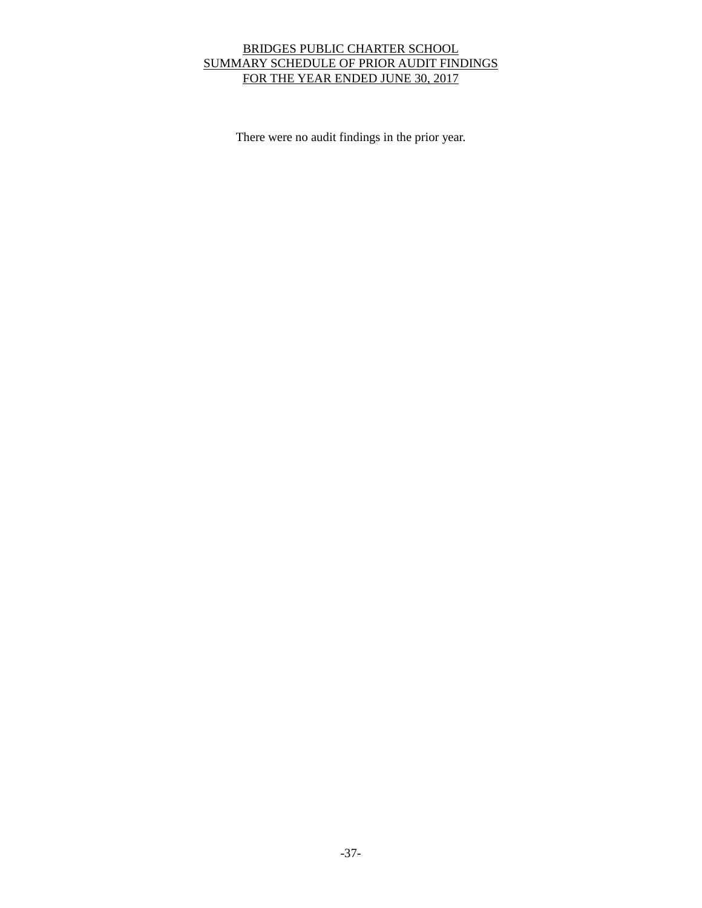# BRIDGES PUBLIC CHARTER SCHOOL SUMMARY SCHEDULE OF PRIOR AUDIT FINDINGS FOR THE YEAR ENDED JUNE 30, 2017

There were no audit findings in the prior year.